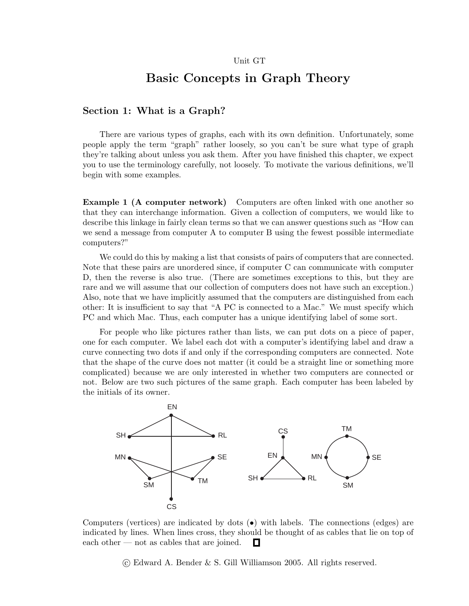### Unit GT

# Basic Concepts in Graph Theory

## Section 1: What is a Graph?

There are various types of graphs, each with its own definition. Unfortunately, some people apply the term "graph" rather loosely, so you can't be sure what type of graph they're talking about unless you ask them. After you have finished this chapter, we expect you to use the terminology carefully, not loosely. To motivate the various definitions, we'll begin with some examples.

Example 1 (A computer network) Computers are often linked with one another so that they can interchange information. Given a collection of computers, we would like to describe this linkage in fairly clean terms so that we can answer questions such as "How can we send a message from computer A to computer B using the fewest possible intermediate computers?"

We could do this by making a list that consists of pairs of computers that are connected. Note that these pairs are unordered since, if computer C can communicate with computer D, then the reverse is also true. (There are sometimes exceptions to this, but they are rare and we will assume that our collection of computers does not have such an exception.) Also, note that we have implicitly assumed that the computers are distinguished from each other: It is insufficient to say that "A PC is connected to a Mac." We must specify which PC and which Mac. Thus, each computer has a unique identifying label of some sort.

For people who like pictures rather than lists, we can put dots on a piece of paper, one for each computer. We label each dot with a computer's identifying label and draw a curve connecting two dots if and only if the corresponding computers are connected. Note that the shape of the curve does not matter (it could be a straight line or something more complicated) because we are only interested in whether two computers are connected or not. Below are two such pictures of the same graph. Each computer has been labeled by the initials of its owner.



Computers (vertices) are indicated by dots  $\left(\bullet\right)$  with labels. The connections (edges) are indicated by lines. When lines cross, they should be thought of as cables that lie on top of each other — not as cables that are joined. O

c Edward A. Bender & S. Gill Williamson 2005. All rights reserved.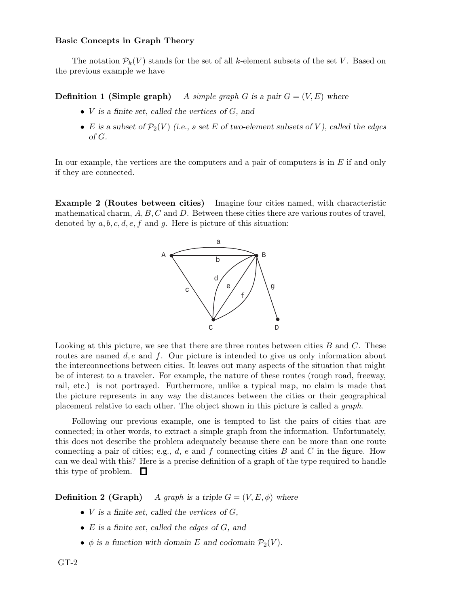The notation  $\mathcal{P}_k(V)$  stands for the set of all k-element subsets of the set V. Based on the previous example we have

**Definition 1 (Simple graph)** A simple graph G is a pair  $G = (V, E)$  where

- $V$  is a finite set, called the vertices of  $G$ , and
- E is a subset of  $\mathcal{P}_2(V)$  (i.e., a set E of two-element subsets of V), called the edges of G.

In our example, the vertices are the computers and a pair of computers is in  $E$  if and only if they are connected.

Example 2 (Routes between cities) Imagine four cities named, with characteristic mathematical charm,  $A, B, C$  and  $D$ . Between these cities there are various routes of travel, denoted by  $a, b, c, d, e, f$  and  $g$ . Here is picture of this situation:



Looking at this picture, we see that there are three routes between cities  $B$  and  $C$ . These routes are named  $d, e$  and f. Our picture is intended to give us only information about the interconnections between cities. It leaves out many aspects of the situation that might be of interest to a traveler. For example, the nature of these routes (rough road, freeway, rail, etc.) is not portrayed. Furthermore, unlike a typical map, no claim is made that the picture represents in any way the distances between the cities or their geographical placement relative to each other. The object shown in this picture is called a graph.

Following our previous example, one is tempted to list the pairs of cities that are connected; in other words, to extract a simple graph from the information. Unfortunately, this does not describe the problem adequately because there can be more than one route connecting a pair of cities; e.g.,  $d$ ,  $e$  and  $f$  connecting cities  $B$  and  $C$  in the figure. How can we deal with this? Here is a precise definition of a graph of the type required to handle this type of problem.  $\Box$ 

**Definition 2 (Graph)** A graph is a triple  $G = (V, E, \phi)$  where

- $V$  is a finite set, called the vertices of  $G$ ,
- $E$  is a finite set, called the edges of  $G$ , and
- $\phi$  is a function with domain E and codomain  $\mathcal{P}_2(V)$ .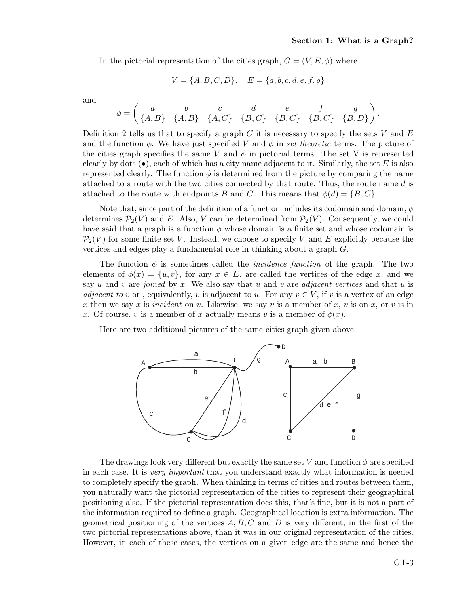In the pictorial representation of the cities graph,  $G = (V, E, \phi)$  where

$$
V = \{A, B, C, D\}, \quad E = \{a, b, c, d, e, f, g\}
$$

and

$$
\phi = \begin{pmatrix} a & b & c & d & e & f & g \\ \{A, B\} & \{A, B\} & \{A, C\} & \{B, C\} & \{B, C\} & \{B, C\} & \{B, D\} \end{pmatrix}.
$$

Definition 2 tells us that to specify a graph G it is necessary to specify the sets V and  $E$ and the function  $\phi$ . We have just specified V and  $\phi$  in set theoretic terms. The picture of the cities graph specifies the same V and  $\phi$  in pictorial terms. The set V is represented clearly by dots  $(\bullet)$ , each of which has a city name adjacent to it. Similarly, the set E is also represented clearly. The function  $\phi$  is determined from the picture by comparing the name attached to a route with the two cities connected by that route. Thus, the route name d is attached to the route with endpoints B and C. This means that  $\phi(d) = \{B, C\}.$ 

Note that, since part of the definition of a function includes its codomain and domain,  $\phi$ determines  $\mathcal{P}_2(V)$  and E. Also, V can be determined from  $\mathcal{P}_2(V)$ . Consequently, we could have said that a graph is a function  $\phi$  whose domain is a finite set and whose codomain is  $\mathcal{P}_2(V)$  for some finite set V. Instead, we choose to specify V and E explicitly because the vertices and edges play a fundamental role in thinking about a graph G.

The function  $\phi$  is sometimes called the *incidence function* of the graph. The two elements of  $\phi(x) = \{u, v\}$ , for any  $x \in E$ , are called the vertices of the edge x, and we say u and v are joined by x. We also say that u and v are *adjacent vertices* and that u is *adjacent to v* or, equivalently, v is adjacent to u. For any  $v \in V$ , if v is a vertex of an edge x then we say x is incident on v. Likewise, we say v is a member of x, v is on x, or v is in x. Of course, v is a member of x actually means v is a member of  $\phi(x)$ .

Here are two additional pictures of the same cities graph given above:



The drawings look very different but exactly the same set V and function  $\phi$  are specified in each case. It is very important that you understand exactly what information is needed to completely specify the graph. When thinking in terms of cities and routes between them, you naturally want the pictorial representation of the cities to represent their geographical positioning also. If the pictorial representation does this, that's fine, but it is not a part of the information required to define a graph. Geographical location is extra information. The geometrical positioning of the vertices  $A, B, C$  and D is very different, in the first of the two pictorial representations above, than it was in our original representation of the cities. However, in each of these cases, the vertices on a given edge are the same and hence the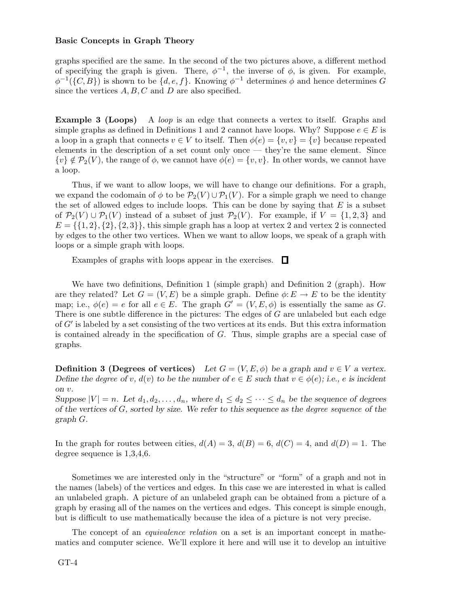graphs specified are the same. In the second of the two pictures above, a different method of specifying the graph is given. There,  $\phi^{-1}$ , the inverse of  $\phi$ , is given. For example,  $\phi^{-1}(\{C, B\})$  is shown to be  $\{d, e, f\}$ . Knowing  $\phi^{-1}$  determines  $\phi$  and hence determines G since the vertices  $A, B, C$  and  $D$  are also specified.

**Example 3 (Loops)** A *loop* is an edge that connects a vertex to itself. Graphs and simple graphs as defined in Definitions 1 and 2 cannot have loops. Why? Suppose  $e \in E$  is a loop in a graph that connects  $v \in V$  to itself. Then  $\phi(e) = \{v, v\} = \{v\}$  because repeated elements in the description of a set count only once — they're the same element. Since  $\{v\} \notin \mathcal{P}_2(V)$ , the range of  $\phi$ , we cannot have  $\phi(e) = \{v, v\}$ . In other words, we cannot have a loop.

Thus, if we want to allow loops, we will have to change our definitions. For a graph, we expand the codomain of  $\phi$  to be  $\mathcal{P}_2(V) \cup \mathcal{P}_1(V)$ . For a simple graph we need to change the set of allowed edges to include loops. This can be done by saying that  $E$  is a subset of  $\mathcal{P}_2(V) \cup \mathcal{P}_1(V)$  instead of a subset of just  $\mathcal{P}_2(V)$ . For example, if  $V = \{1, 2, 3\}$  and  $E = \{ \{1, 2\}, \{2\}, \{2, 3\} \}$ , this simple graph has a loop at vertex 2 and vertex 2 is connected by edges to the other two vertices. When we want to allow loops, we speak of a graph with loops or a simple graph with loops.

Examples of graphs with loops appear in the exercises.  $\Box$ 

We have two definitions, Definition 1 (simple graph) and Definition 2 (graph). How are they related? Let  $G = (V, E)$  be a simple graph. Define  $\phi: E \to E$  to be the identity map; i.e.,  $\phi(e) = e$  for all  $e \in E$ . The graph  $G' = (V, E, \phi)$  is essentially the same as G. There is one subtle difference in the pictures: The edges of  $G$  are unlabeled but each edge of G′ is labeled by a set consisting of the two vertices at its ends. But this extra information is contained already in the specification of G. Thus, simple graphs are a special case of graphs.

**Definition 3 (Degrees of vertices)** Let  $G = (V, E, \phi)$  be a graph and  $v \in V$  a vertex. Define the degree of v,  $d(v)$  to be the number of  $e \in E$  such that  $v \in \phi(e)$ ; i.e., e is incident on v.

Suppose  $|V| = n$ . Let  $d_1, d_2, \ldots, d_n$ , where  $d_1 \leq d_2 \leq \cdots \leq d_n$  be the sequence of degrees of the vertices of  $G$ , sorted by size. We refer to this sequence as the degree sequence of the graph G.

In the graph for routes between cities,  $d(A) = 3$ ,  $d(B) = 6$ ,  $d(C) = 4$ , and  $d(D) = 1$ . The degree sequence is 1,3,4,6.

Sometimes we are interested only in the "structure" or "form" of a graph and not in the names (labels) of the vertices and edges. In this case we are interested in what is called an unlabeled graph. A picture of an unlabeled graph can be obtained from a picture of a graph by erasing all of the names on the vertices and edges. This concept is simple enough, but is difficult to use mathematically because the idea of a picture is not very precise.

The concept of an *equivalence relation* on a set is an important concept in mathematics and computer science. We'll explore it here and will use it to develop an intuitive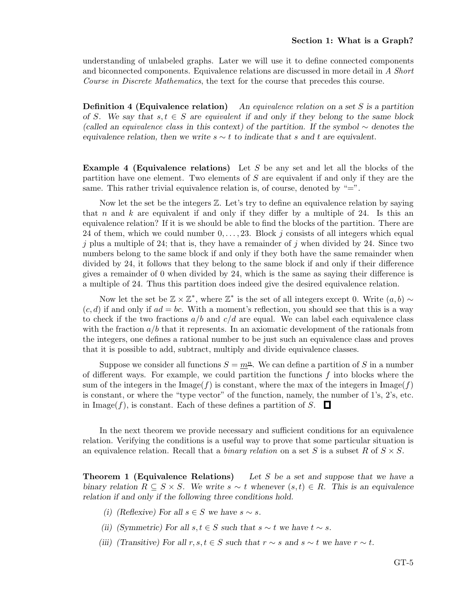understanding of unlabeled graphs. Later we will use it to define connected components and biconnected components. Equivalence relations are discussed in more detail in A Short Course in Discrete Mathematics, the text for the course that precedes this course.

**Definition 4 (Equivalence relation)** An equivalence relation on a set S is a partition of S. We say that  $s, t \in S$  are equivalent if and only if they belong to the same block (called an equivalence class in this context) of the partition. If the symbol  $\sim$  denotes the equivalence relation, then we write  $s \sim t$  to indicate that s and t are equivalent.

**Example 4 (Equivalence relations)** Let S be any set and let all the blocks of the partition have one element. Two elements of  $S$  are equivalent if and only if they are the same. This rather trivial equivalence relation is, of course, denoted by " $=$ ".

Now let the set be the integers  $\mathbb{Z}$ . Let's try to define an equivalence relation by saying that n and k are equivalent if and only if they differ by a multiple of  $24$ . Is this an equivalence relation? If it is we should be able to find the blocks of the partition. There are 24 of them, which we could number  $0, \ldots, 23$ . Block j consists of all integers which equal j plus a multiple of 24; that is, they have a remainder of j when divided by 24. Since two numbers belong to the same block if and only if they both have the same remainder when divided by 24, it follows that they belong to the same block if and only if their difference gives a remainder of 0 when divided by 24, which is the same as saying their difference is a multiple of 24. Thus this partition does indeed give the desired equivalence relation.

Now let the set be  $\mathbb{Z} \times \mathbb{Z}^*$ , where  $\mathbb{Z}^*$  is the set of all integers except 0. Write  $(a, b) \sim$  $(c, d)$  if and only if  $ad = bc$ . With a moment's reflection, you should see that this is a way to check if the two fractions  $a/b$  and  $c/d$  are equal. We can label each equivalence class with the fraction  $a/b$  that it represents. In an axiomatic development of the rationals from the integers, one defines a rational number to be just such an equivalence class and proves that it is possible to add, subtract, multiply and divide equivalence classes.

Suppose we consider all functions  $S = m<sup>n</sup>$ . We can define a partition of S in a number of different ways. For example, we could partition the functions  $f$  into blocks where the sum of the integers in the Image(f) is constant, where the max of the integers in Image(f) is constant, or where the "type vector" of the function, namely, the number of 1's, 2's, etc. in Image(f), is constant. Each of these defines a partition of S.  $\Box$ 

In the next theorem we provide necessary and sufficient conditions for an equivalence relation. Verifying the conditions is a useful way to prove that some particular situation is an equivalence relation. Recall that a *binary relation* on a set S is a subset R of  $S \times S$ .

**Theorem 1 (Equivalence Relations)** Let S be a set and suppose that we have a binary relation  $R \subseteq S \times S$ . We write  $s \sim t$  whenever  $(s, t) \in R$ . This is an equivalence relation if and only if the following three conditions hold.

- (i) (Reflexive) For all  $s \in S$  we have  $s \sim s$ .
- (ii) (Symmetric) For all  $s, t \in S$  such that  $s \sim t$  we have  $t \sim s$ .
- (iii) (Transitive) For all  $r, s, t \in S$  such that  $r \sim s$  and  $s \sim t$  we have  $r \sim t$ .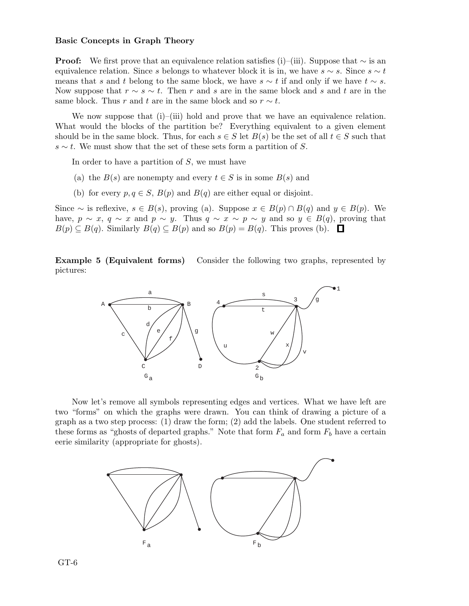**Proof:** We first prove that an equivalence relation satisfies (i)–(iii). Suppose that  $\sim$  is an equivalence relation. Since s belongs to whatever block it is in, we have  $s \sim s$ . Since  $s \sim t$ means that s and t belong to the same block, we have  $s \sim t$  if and only if we have  $t \sim s$ . Now suppose that  $r \sim s \sim t$ . Then r and s are in the same block and s and t are in the same block. Thus r and t are in the same block and so  $r \sim t$ .

We now suppose that (i)–(iii) hold and prove that we have an equivalence relation. What would the blocks of the partition be? Everything equivalent to a given element should be in the same block. Thus, for each  $s \in S$  let  $B(s)$  be the set of all  $t \in S$  such that s  $\sim t$ . We must show that the set of these sets form a partition of S.

In order to have a partition of  $S$ , we must have

- (a) the  $B(s)$  are nonempty and every  $t \in S$  is in some  $B(s)$  and
- (b) for every  $p, q \in S$ ,  $B(p)$  and  $B(q)$  are either equal or disjoint.

Since  $\sim$  is reflexive,  $s \in B(s)$ , proving (a). Suppose  $x \in B(p) \cap B(q)$  and  $y \in B(p)$ . We have,  $p \sim x$ ,  $q \sim x$  and  $p \sim y$ . Thus  $q \sim x \sim p \sim y$  and so  $y \in B(q)$ , proving that  $B(p) \subseteq B(q)$ . Similarly  $B(q) \subseteq B(p)$  and so  $B(p) = B(q)$ . This proves (b).  $\Box$ 

Example 5 (Equivalent forms) Consider the following two graphs, represented by pictures:



Now let's remove all symbols representing edges and vertices. What we have left are two "forms" on which the graphs were drawn. You can think of drawing a picture of a graph as a two step process: (1) draw the form; (2) add the labels. One student referred to these forms as "ghosts of departed graphs." Note that form  $F_a$  and form  $F_b$  have a certain eerie similarity (appropriate for ghosts).

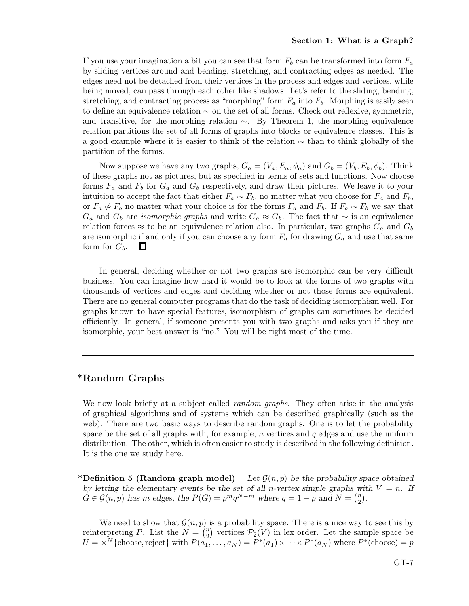If you use your imagination a bit you can see that form  $F_b$  can be transformed into form  $F_a$ by sliding vertices around and bending, stretching, and contracting edges as needed. The edges need not be detached from their vertices in the process and edges and vertices, while being moved, can pass through each other like shadows. Let's refer to the sliding, bending, stretching, and contracting process as "morphing" form  $F_a$  into  $F_b$ . Morphing is easily seen to define an equivalence relation ∼ on the set of all forms. Check out reflexive, symmetric, and transitive, for the morphing relation  $\sim$ . By Theorem 1, the morphing equivalence relation partitions the set of all forms of graphs into blocks or equivalence classes. This is a good example where it is easier to think of the relation ∼ than to think globally of the partition of the forms.

Now suppose we have any two graphs,  $G_a = (V_a, E_a, \phi_a)$  and  $G_b = (V_b, E_b, \phi_b)$ . Think of these graphs not as pictures, but as specified in terms of sets and functions. Now choose forms  $F_a$  and  $F_b$  for  $G_a$  and  $G_b$  respectively, and draw their pictures. We leave it to your intuition to accept the fact that either  $F_a \sim F_b$ , no matter what you choose for  $F_a$  and  $F_b$ , or  $F_a \not\sim F_b$  no matter what your choice is for the forms  $F_a$  and  $F_b$ . If  $F_a \sim F_b$  we say that  $G_a$  and  $G_b$  are *isomorphic graphs* and write  $G_a \approx G_b$ . The fact that  $\sim$  is an equivalence relation forces  $\approx$  to be an equivalence relation also. In particular, two graphs  $G_a$  and  $G_b$ are isomorphic if and only if you can choose any form  $F_a$  for drawing  $G_a$  and use that same form for  $G_b$ . ◘

In general, deciding whether or not two graphs are isomorphic can be very difficult business. You can imagine how hard it would be to look at the forms of two graphs with thousands of vertices and edges and deciding whether or not those forms are equivalent. There are no general computer programs that do the task of deciding isomorphism well. For graphs known to have special features, isomorphism of graphs can sometimes be decided efficiently. In general, if someone presents you with two graphs and asks you if they are isomorphic, your best answer is "no." You will be right most of the time.

## \*Random Graphs

We now look briefly at a subject called *random graphs*. They often arise in the analysis of graphical algorithms and of systems which can be described graphically (such as the web). There are two basic ways to describe random graphs. One is to let the probability space be the set of all graphs with, for example,  $n$  vertices and  $q$  edges and use the uniform distribution. The other, which is often easier to study is described in the following definition. It is the one we study here.

\*Definition 5 (Random graph model) Let  $\mathcal{G}(n, p)$  be the probability space obtained by letting the elementary events be the set of all n-vertex simple graphs with  $V = n$ . If  $G \in \mathcal{G}(n, p)$  has m edges, the  $P(G) = p^m q^{N-m}$  where  $q = 1 - p$  and  $N = {n \choose 2}$  $\binom{n}{2}$ .

We need to show that  $\mathcal{G}(n, p)$  is a probability space. There is a nice way to see this by reinterpreting P. List the  $N = \binom{n}{2}$  $n_2$ ) vertices  $\mathcal{P}_2(V)$  in lex order. Let the sample space be  $U = \times^N \{\text{choose}, \text{reject}\}\$  with  $P(a_1, \ldots, a_N) = P^*(a_1) \times \cdots \times P^*(a_N)$  where  $P^*(\text{choose}) = p$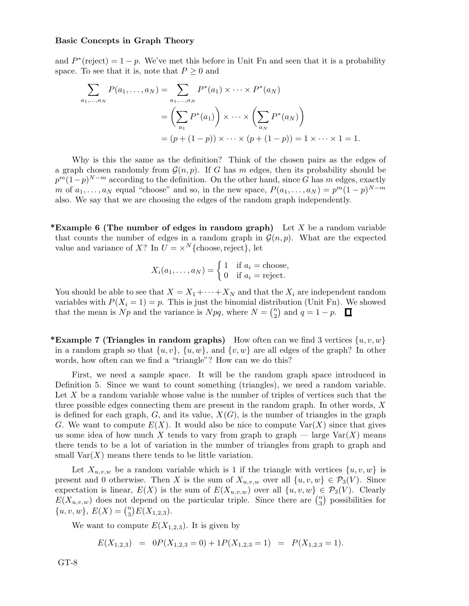and  $P^*$ (reject) = 1 – p. We've met this before in Unit Fn and seen that it is a probability space. To see that it is, note that  $P \geq 0$  and

$$
\sum_{a_1, ..., a_N} P(a_1, ..., a_N) = \sum_{a_1, ..., a_N} P^*(a_1) \times \cdots \times P^*(a_N)
$$
  
=  $\left(\sum_{a_1} P^*(a_1)\right) \times \cdots \times \left(\sum_{a_N} P^*(a_N)\right)$   
=  $(p + (1 - p)) \times \cdots \times (p + (1 - p)) = 1 \times \cdots \times 1 = 1.$ 

Why is this the same as the definition? Think of the chosen pairs as the edges of a graph chosen randomly from  $\mathcal{G}(n, p)$ . If G has m edges, then its probability should be  $p^m(1-p)^{N-m}$  according to the definition. On the other hand, since G has m edges, exactly m of  $a_1, \ldots, a_N$  equal "choose" and so, in the new space,  $P(a_1, \ldots, a_N) = p^m (1-p)^{N-m}$ also. We say that we are choosing the edges of the random graph independently.

\*Example 6 (The number of edges in random graph) Let X be a random variable that counts the number of edges in a random graph in  $\mathcal{G}(n, p)$ . What are the expected value and variance of X? In  $U = \times^N$  {choose, reject}, let

$$
X_i(a_1,\ldots,a_N) = \begin{cases} 1 & \text{if } a_i = \text{choose}, \\ 0 & \text{if } a_i = \text{reject}. \end{cases}
$$

You should be able to see that  $X = X_1 + \cdots + X_N$  and that the  $X_i$  are independent random variables with  $P(X_i = 1) = p$ . This is just the binomial distribution (Unit Fn). We showed that the mean is  $Np$  and the variance is  $Npq$ , where  $N = \binom{n}{2}$  and  $q = 1 - p$ .

\*Example 7 (Triangles in random graphs) How often can we find 3 vertices  $\{u, v, w\}$ in a random graph so that  $\{u, v\}$ ,  $\{u, w\}$ , and  $\{v, w\}$  are all edges of the graph? In other words, how often can we find a "triangle"? How can we do this?

First, we need a sample space. It will be the random graph space introduced in Definition 5. Since we want to count something (triangles), we need a random variable. Let  $X$  be a random variable whose value is the number of triples of vertices such that the three possible edges connecting them are present in the random graph. In other words,  $X$ is defined for each graph,  $G$ , and its value,  $X(G)$ , is the number of triangles in the graph G. We want to compute  $E(X)$ . It would also be nice to compute  $Var(X)$  since that gives us some idea of how much X tends to vary from graph to graph — large  $\text{Var}(X)$  means there tends to be a lot of variation in the number of triangles from graph to graph and small  $\text{Var}(X)$  means there tends to be little variation.

Let  $X_{u,v,w}$  be a random variable which is 1 if the triangle with vertices  $\{u, v, w\}$  is present and 0 otherwise. Then X is the sum of  $X_{u,v,w}$  over all  $\{u, v, w\} \in \mathcal{P}_3(V)$ . Since expectation is linear,  $E(X)$  is the sum of  $E(X_{u,v,w})$  over all  $\{u, v, w\} \in \mathcal{P}_3(V)$ . Clearly  $E(X_{u,v,w})$  does not depend on the particular triple. Since there are  $\binom{n}{3}$ 3 possibilities for  $\{u, v, w\}, E(X) = \binom{n}{3}E(X_{1,2,3}).$ 

We want to compute  $E(X_{1,2,3})$ . It is given by

$$
E(X_{1,2,3}) = 0P(X_{1,2,3} = 0) + 1P(X_{1,2,3} = 1) = P(X_{1,2,3} = 1).
$$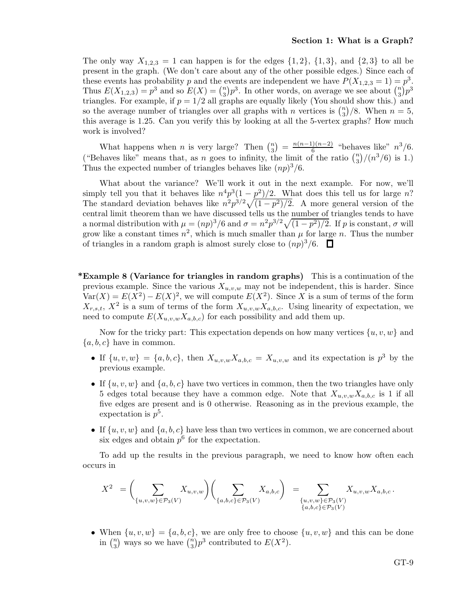#### Section 1: What is a Graph?

The only way  $X_{1,2,3} = 1$  can happen is for the edges  $\{1,2\}$ ,  $\{1,3\}$ , and  $\{2,3\}$  to all be present in the graph. (We don't care about any of the other possible edges.) Since each of these events has probability p and the events are independent we have  $P(X_{1,2,3} = 1) = p^3$ . Thus  $E(X_{1,2,3}) = p^3$  and so  $E(X) = {n \choose 3}$  $\binom{n}{3}p^3$ . In other words, on average we see about  $\binom{n}{3}$  $\binom{n}{3}p^3$ triangles. For example, if  $p = 1/2$  all graphs are equally likely (You should show this.) and so the average number of triangles over all graphs with n vertices is  $\binom{n}{3}$  $\binom{n}{3}$ /8. When  $n = 5$ , this average is 1.25. Can you verify this by looking at all the 5-vertex graphs? How much work is involved?

What happens when *n* is very large? Then  $\binom{n}{3}$  $\binom{n}{3} = \frac{n(n-1)(n-2)}{6}$  $\frac{(\lambda)(n-2)}{6}$  "behaves like"  $n^3/6$ . ("Behaves like" means that, as n goes to infinity, the limit of the ratio  $\binom{n}{3}/\binom{n^3}{6}$  is 1.) Thus the expected number of triangles behaves like  $(np)^3/6$ .

What about the variance? We'll work it out in the next example. For now, we'll simply tell you that it behaves like  $n^4p^3(1-p^2)/2$ . What does this tell us for large n? The standard deviation behaves like  $n^2p^{3/2}\sqrt{(1-p^2)/2}$ . A more general version of the central limit theorem than we have discussed tells us the number of triangles tends to have a normal distribution with  $\mu = (np)^3/6$  and  $\sigma = n^2p^{3/2}\sqrt{(1-p^2)/2}$ . If p is constant,  $\sigma$  will grow like a constant times  $n^2$ , which is much smaller than  $\mu$  for large n. Thus the number of triangles in a random graph is almost surely close to  $(np)^3/6$ .

\*Example 8 (Variance for triangles in random graphs) This is a continuation of the previous example. Since the various  $X_{u,v,w}$  may not be independent, this is harder. Since  $Var(X) = E(X^2) - E(X)^2$ , we will compute  $E(X^2)$ . Since X is a sum of terms of the form  $X_{r,s,t}$ ,  $X^2$  is a sum of terms of the form  $X_{u,v,w}X_{a,b,c}$ . Using linearity of expectation, we need to compute  $E(X_{u,v,w}X_{a,b,c})$  for each possibility and add them up.

Now for the tricky part: This expectation depends on how many vertices  $\{u, v, w\}$  and  ${a, b, c}$  have in common.

- If  $\{u, v, w\} = \{a, b, c\}$ , then  $X_{u,v,w} X_{a,b,c} = X_{u,v,w}$  and its expectation is  $p^3$  by the previous example.
- If  $\{u, v, w\}$  and  $\{a, b, c\}$  have two vertices in common, then the two triangles have only 5 edges total because they have a common edge. Note that  $X_{u,v,w}X_{a,b,c}$  is 1 if all five edges are present and is 0 otherwise. Reasoning as in the previous example, the expectation is  $p^5$ .
- If  $\{u, v, w\}$  and  $\{a, b, c\}$  have less than two vertices in common, we are concerned about six edges and obtain  $p^6$  for the expectation.

To add up the results in the previous paragraph, we need to know how often each occurs in

$$
X^{2} = \left(\sum_{\{u,v,w\} \in \mathcal{P}_{3}(V)} X_{u,v,w}\right)\left(\sum_{\{a,b,c\} \in \mathcal{P}_{3}(V)} X_{a,b,c}\right) = \sum_{\substack{\{u,v,w\} \in \mathcal{P}_{3}(V) \\ \{a,b,c\} \in \mathcal{P}_{3}(V)}} X_{u,v,w} X_{a,b,c}.
$$

• When  $\{u, v, w\} = \{a, b, c\}$ , we are only free to choose  $\{u, v, w\}$  and this can be done in  $\binom{n}{3}$  ways so we have  $\binom{n}{3}p^3$  contributed to  $E(X^2)$ .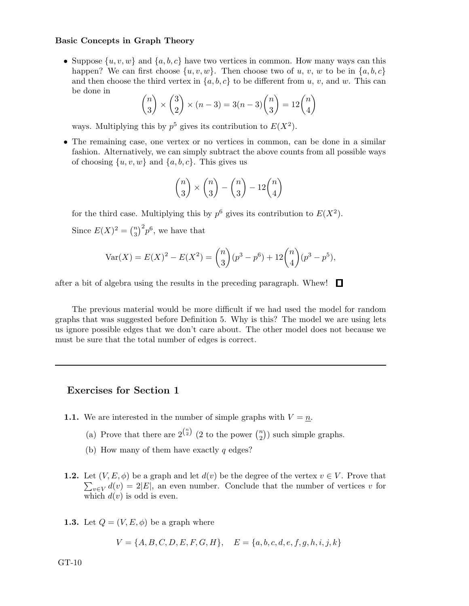• Suppose  $\{u, v, w\}$  and  $\{a, b, c\}$  have two vertices in common. How many ways can this happen? We can first choose  $\{u, v, w\}$ . Then choose two of u, v, w to be in  $\{a, b, c\}$ and then choose the third vertex in  $\{a, b, c\}$  to be different from u, v, and w. This can be done in

$$
\binom{n}{3} \times \binom{3}{2} \times (n-3) = 3(n-3)\binom{n}{3} = 12\binom{n}{4}
$$

ways. Multiplying this by  $p^5$  gives its contribution to  $E(X^2)$ .

• The remaining case, one vertex or no vertices in common, can be done in a similar fashion. Alternatively, we can simply subtract the above counts from all possible ways of choosing  $\{u, v, w\}$  and  $\{a, b, c\}$ . This gives us

$$
\binom{n}{3} \times \binom{n}{3} - \binom{n}{3} - 12\binom{n}{4}
$$

for the third case. Multiplying this by  $p^6$  gives its contribution to  $E(X^2)$ . Since  $E(X)^2 = \binom{n}{3}$  $\binom{n}{3}^2 p^6$ , we have that

$$
\text{Var}(X) = E(X)^2 - E(X^2) = \binom{n}{3} (p^3 - p^6) + 12 \binom{n}{4} (p^3 - p^5),
$$

after a bit of algebra using the results in the preceding paragraph. Whew!  $\Box$ 

The previous material would be more difficult if we had used the model for random graphs that was suggested before Definition 5. Why is this? The model we are using lets us ignore possible edges that we don't care about. The other model does not because we must be sure that the total number of edges is correct.

## Exercises for Section 1

- 1.1. We are interested in the number of simple graphs with  $V = n$ .
	- (a) Prove that there are  $2^{\binom{n}{2}}$  (2 to the power  $\binom{n}{2}$ ) such simple graphs.
	- (b) How many of them have exactly  $q$  edges?
- **1.2.** Let  $(V, E, \phi)$  be a graph and let  $d(v)$  be the degree of the vertex  $v \in V$ . Prove that  $\sum_{v \in V} d(v) = 2|E|$ , an even number. Conclude that the number of vertices v for which  $d(v)$  is odd is even.
- **1.3.** Let  $Q = (V, E, \phi)$  be a graph where

$$
V = \{A, B, C, D, E, F, G, H\}, \quad E = \{a, b, c, d, e, f, g, h, i, j, k\}
$$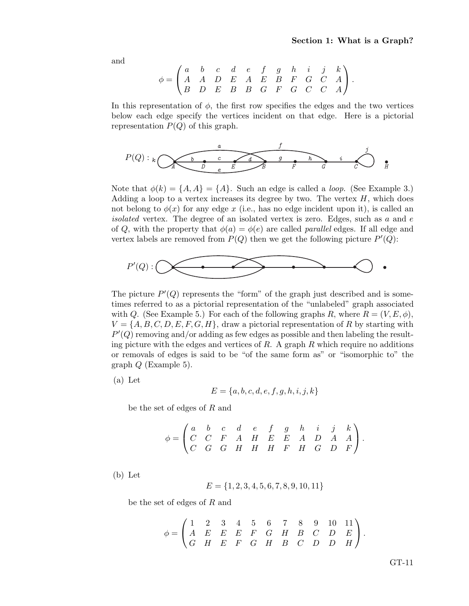and

$$
\phi = \begin{pmatrix} a & b & c & d & e & f & g & h & i & j & k \\ A & A & D & E & A & E & B & F & G & C & A \\ B & D & E & B & B & G & F & G & C & C & A \end{pmatrix}.
$$

In this representation of  $\phi$ , the first row specifies the edges and the two vertices below each edge specify the vertices incident on that edge. Here is a pictorial representation  $P(Q)$  of this graph.



Note that  $\phi(k) = \{A, A\} = \{A\}$ . Such an edge is called a *loop.* (See Example 3.) Adding a loop to a vertex increases its degree by two. The vertex  $H$ , which does not belong to  $\phi(x)$  for any edge x (i.e., has no edge incident upon it), is called an isolated vertex. The degree of an isolated vertex is zero. Edges, such as  $a$  and  $e$ of Q, with the property that  $\phi(a) = \phi(e)$  are called *parallel* edges. If all edge and vertex labels are removed from  $P(Q)$  then we get the following picture  $P'(Q)$ :



The picture  $P'(Q)$  represents the "form" of the graph just described and is sometimes referred to as a pictorial representation of the "unlabeled" graph associated with Q. (See Example 5.) For each of the following graphs R, where  $R = (V, E, \phi)$ ,  $V = \{A, B, C, D, E, F, G, H\}$ , draw a pictorial representation of R by starting with  $P'(Q)$  removing and/or adding as few edges as possible and then labeling the resulting picture with the edges and vertices of  $R$ . A graph  $R$  which require no additions or removals of edges is said to be "of the same form as" or "isomorphic to" the graph  $Q$  (Example 5).

(a) Let

$$
E = \{a, b, c, d, e, f, g, h, i, j, k\}
$$

be the set of edges of R and

$$
\phi = \begin{pmatrix} a & b & c & d & e & f & g & h & i & j & k \\ C & C & F & A & H & E & E & A & D & A & A \\ C & G & G & H & H & H & F & H & G & D & F \end{pmatrix}.
$$

(b) Let

$$
E = \{1, 2, 3, 4, 5, 6, 7, 8, 9, 10, 11\}
$$

be the set of edges of R and

$$
\phi = \begin{pmatrix} 1 & 2 & 3 & 4 & 5 & 6 & 7 & 8 & 9 & 10 & 11 \\ A & E & E & E & F & G & H & B & C & D & E \\ G & H & E & F & G & H & B & C & D & D & H \end{pmatrix}.
$$

GT-11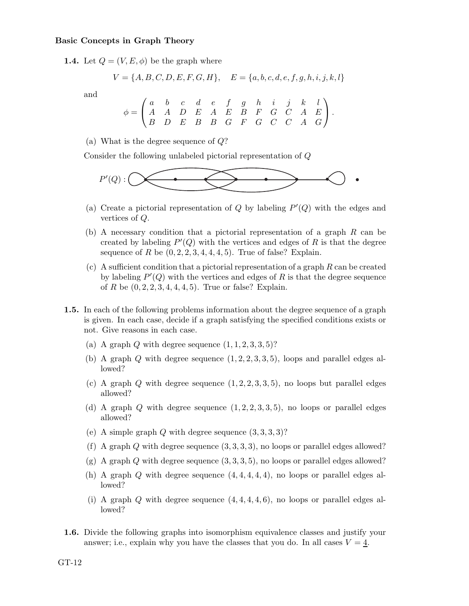**1.4.** Let  $Q = (V, E, \phi)$  be the graph where

$$
V = \{A, B, C, D, E, F, G, H\}, \quad E = \{a, b, c, d, e, f, g, h, i, j, k, l\}
$$

and

$$
\phi = \begin{pmatrix} a & b & c & d & e & f & g & h & i & j & k & l \\ A & A & D & E & A & E & B & F & G & C & A & E \\ B & D & E & B & B & G & F & G & C & C & A & G \end{pmatrix}.
$$

(a) What is the degree sequence of Q?

Consider the following unlabeled pictorial representation of Q



- (a) Create a pictorial representation of  $Q$  by labeling  $P'(Q)$  with the edges and vertices of Q.
- (b) A necessary condition that a pictorial representation of a graph R can be created by labeling  $P'(Q)$  with the vertices and edges of R is that the degree sequence of R be  $(0, 2, 2, 3, 4, 4, 4, 5)$ . True of false? Explain.
- (c) A sufficient condition that a pictorial representation of a graph R can be created by labeling  $P'(Q)$  with the vertices and edges of R is that the degree sequence of R be  $(0, 2, 2, 3, 4, 4, 4, 5)$ . True or false? Explain.
- 1.5. In each of the following problems information about the degree sequence of a graph is given. In each case, decide if a graph satisfying the specified conditions exists or not. Give reasons in each case.
	- (a) A graph  $Q$  with degree sequence  $(1, 1, 2, 3, 3, 5)$ ?
	- (b) A graph Q with degree sequence  $(1, 2, 2, 3, 3, 5)$ , loops and parallel edges allowed?
	- (c) A graph  $Q$  with degree sequence  $(1, 2, 2, 3, 3, 5)$ , no loops but parallel edges allowed?
	- (d) A graph  $Q$  with degree sequence  $(1, 2, 2, 3, 3, 5)$ , no loops or parallel edges allowed?
	- (e) A simple graph  $Q$  with degree sequence  $(3,3,3,3)$ ?
	- (f) A graph  $Q$  with degree sequence  $(3, 3, 3, 3)$ , no loops or parallel edges allowed?
	- $(g)$  A graph Q with degree sequence  $(3, 3, 3, 5)$ , no loops or parallel edges allowed?
	- (h) A graph  $Q$  with degree sequence  $(4, 4, 4, 4, 4)$ , no loops or parallel edges allowed?
	- (i) A graph  $Q$  with degree sequence  $(4, 4, 4, 4, 6)$ , no loops or parallel edges allowed?
- 1.6. Divide the following graphs into isomorphism equivalence classes and justify your answer; i.e., explain why you have the classes that you do. In all cases  $V = 4$ .

GT-12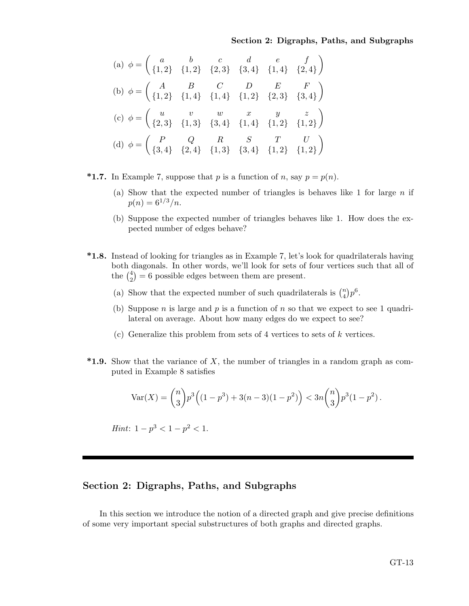(a) 
$$
\phi = \begin{pmatrix} a & b & c & d & e & f \\ \{1,2\} & \{1,2\} & \{2,3\} & \{3,4\} & \{1,4\} & \{2,4\} \end{pmatrix}
$$
  
\n(b)  $\phi = \begin{pmatrix} A & B & C & D & E & F \\ \{1,2\} & \{1,4\} & \{1,4\} & \{1,2\} & \{2,3\} & \{3,4\} \end{pmatrix}$   
\n(c)  $\phi = \begin{pmatrix} u & v & w & x & y & z \\ \{2,3\} & \{1,3\} & \{3,4\} & \{1,4\} & \{1,2\} & \{1,2\} \end{pmatrix}$   
\n(d)  $\phi = \begin{pmatrix} P & Q & R & S & T & U \\ \{3,4\} & \{2,4\} & \{1,3\} & \{3,4\} & \{1,2\} & \{1,2\} \end{pmatrix}$ 

\*1.7. In Example 7, suppose that p is a function of n, say  $p = p(n)$ .

- (a) Show that the expected number of triangles is behaves like 1 for large  $n$  if  $p(n) = 6^{1/3}/n$ .
- (b) Suppose the expected number of triangles behaves like 1. How does the expected number of edges behave?
- \*1.8. Instead of looking for triangles as in Example 7, let's look for quadrilaterals having both diagonals. In other words, we'll look for sets of four vertices such that all of the  $\binom{4}{2}$  $\binom{4}{2}$  = 6 possible edges between them are present.
	- (a) Show that the expected number of such quadrilaterals is  $\binom{n}{4}$  $\binom{n}{4}p^6.$
	- (b) Suppose n is large and p is a function of n so that we expect to see 1 quadrilateral on average. About how many edges do we expect to see?
	- (c) Generalize this problem from sets of 4 vertices to sets of  $k$  vertices.
- \*1.9. Show that the variance of  $X$ , the number of triangles in a random graph as computed in Example 8 satisfies

$$
\text{Var}(X) = \binom{n}{3} p^3 \left( (1 - p^3) + 3(n - 3)(1 - p^2) \right) < 3n \binom{n}{3} p^3 (1 - p^2) \, .
$$

*Hint*:  $1 - p^3 < 1 - p^2 < 1$ .

## Section 2: Digraphs, Paths, and Subgraphs

In this section we introduce the notion of a directed graph and give precise definitions of some very important special substructures of both graphs and directed graphs.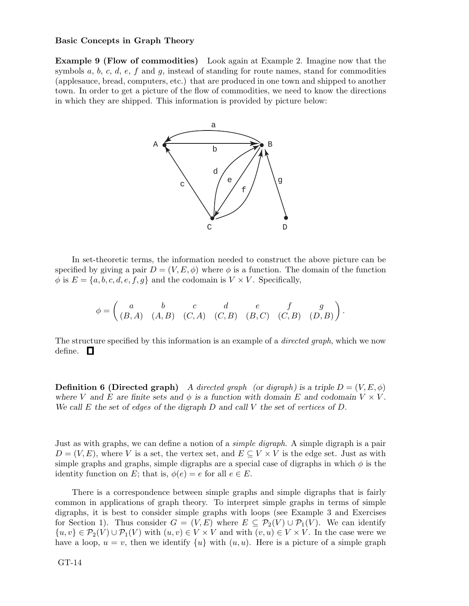Example 9 (Flow of commodities) Look again at Example 2. Imagine now that the symbols  $a, b, c, d, e, f$  and  $g$ , instead of standing for route names, stand for commodities (applesauce, bread, computers, etc.) that are produced in one town and shipped to another town. In order to get a picture of the flow of commodities, we need to know the directions in which they are shipped. This information is provided by picture below:



In set-theoretic terms, the information needed to construct the above picture can be specified by giving a pair  $D = (V, E, \phi)$  where  $\phi$  is a function. The domain of the function  $\phi$  is  $E = \{a, b, c, d, e, f, g\}$  and the codomain is  $V \times V$ . Specifically,

$$
\phi = \begin{pmatrix} a & b & c & d & e & f & g \\ (B, A) & (A, B) & (C, A) & (C, B) & (B, C) & (C, B) & (D, B) \end{pmatrix}.
$$

The structure specified by this information is an example of a *directed graph*, which we now define.  $\square$ 

**Definition 6 (Directed graph)** A directed graph (or digraph) is a triple  $D = (V, E, \phi)$ where V and E are finite sets and  $\phi$  is a function with domain E and codomain  $V \times V$ . We call E the set of edges of the digraph  $D$  and call V the set of vertices of  $D$ .

Just as with graphs, we can define a notion of a simple digraph. A simple digraph is a pair  $D = (V, E)$ , where V is a set, the vertex set, and  $E \subseteq V \times V$  is the edge set. Just as with simple graphs and graphs, simple digraphs are a special case of digraphs in which  $\phi$  is the identity function on E; that is,  $\phi(e) = e$  for all  $e \in E$ .

There is a correspondence between simple graphs and simple digraphs that is fairly common in applications of graph theory. To interpret simple graphs in terms of simple digraphs, it is best to consider simple graphs with loops (see Example 3 and Exercises for Section 1). Thus consider  $G = (V, E)$  where  $E \subseteq \mathcal{P}_2(V) \cup \mathcal{P}_1(V)$ . We can identify  $\{u, v\} \in \mathcal{P}_2(V) \cup \mathcal{P}_1(V)$  with  $(u, v) \in V \times V$  and with  $(v, u) \in V \times V$ . In the case were we have a loop,  $u = v$ , then we identify  $\{u\}$  with  $(u, u)$ . Here is a picture of a simple graph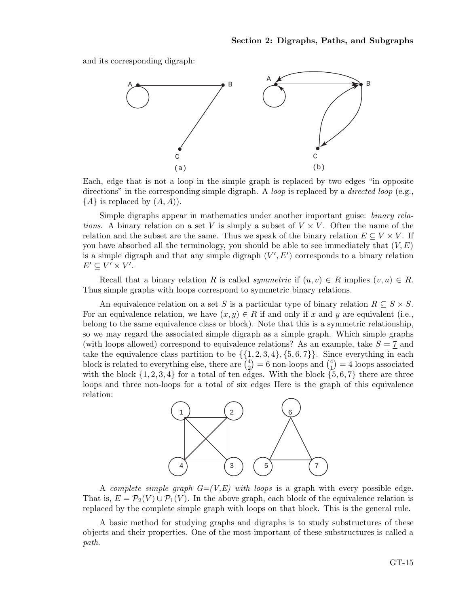and its corresponding digraph:



Each, edge that is not a loop in the simple graph is replaced by two edges "in opposite directions" in the corresponding simple digraph. A loop is replaced by a directed loop (e.g.,  ${A}$  is replaced by  $(A, A)$ .

Simple digraphs appear in mathematics under another important guise: binary relations. A binary relation on a set V is simply a subset of  $V \times V$ . Often the name of the relation and the subset are the same. Thus we speak of the binary relation  $E \subseteq V \times V$ . If you have absorbed all the terminology, you should be able to see immediately that  $(V, E)$ is a simple digraph and that any simple digraph  $(V', E')$  corresponds to a binary relation  $E' \subseteq V' \times V'.$ 

Recall that a binary relation R is called *symmetric* if  $(u, v) \in R$  implies  $(v, u) \in R$ . Thus simple graphs with loops correspond to symmetric binary relations.

An equivalence relation on a set S is a particular type of binary relation  $R \subseteq S \times S$ . For an equivalence relation, we have  $(x, y) \in R$  if and only if x and y are equivalent (i.e., belong to the same equivalence class or block). Note that this is a symmetric relationship, so we may regard the associated simple digraph as a simple graph. Which simple graphs (with loops allowed) correspond to equivalence relations? As an example, take  $S = 7$  and take the equivalence class partition to be  $\{\{1, 2, 3, 4\}, \{5, 6, 7\}\}\.$  Since everything in each block is related to everything else, there are  $\binom{4}{3}$  $\binom{4}{2}$  = 6 non-loops and  $\binom{4}{1}$  $\binom{4}{1} = 4$  loops associated with the block  $\{1, 2, 3, 4\}$  for a total of ten edges. With the block  $\{5, 6, 7\}$  there are three loops and three non-loops for a total of six edges Here is the graph of this equivalence relation:



A complete simple graph  $G=(V,E)$  with loops is a graph with every possible edge. That is,  $E = \mathcal{P}_2(V) \cup \mathcal{P}_1(V)$ . In the above graph, each block of the equivalence relation is replaced by the complete simple graph with loops on that block. This is the general rule.

A basic method for studying graphs and digraphs is to study substructures of these objects and their properties. One of the most important of these substructures is called a path.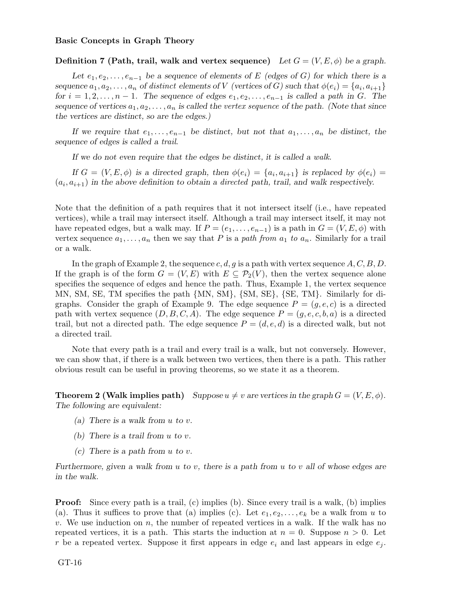### **Definition 7 (Path, trail, walk and vertex sequence)** Let  $G = (V, E, \phi)$  be a graph.

Let  $e_1, e_2, \ldots, e_{n-1}$  be a sequence of elements of E (edges of G) for which there is a sequence  $a_1, a_2, \ldots, a_n$  of distinct elements of V (vertices of G) such that  $\phi(e_i) = \{a_i, a_{i+1}\}\$ for  $i = 1, 2, \ldots, n - 1$ . The sequence of edges  $e_1, e_2, \ldots, e_{n-1}$  is called a path in G. The sequence of vertices  $a_1, a_2, \ldots, a_n$  is called the vertex sequence of the path. (Note that since the vertices are distinct, so are the edges.)

If we require that  $e_1, \ldots, e_{n-1}$  be distinct, but not that  $a_1, \ldots, a_n$  be distinct, the sequence of edges is called a trail.

If we do not even require that the edges be distinct, it is called a walk.

If  $G = (V, E, \phi)$  is a directed graph, then  $\phi(e_i) = \{a_i, a_{i+1}\}\$ is replaced by  $\phi(e_i) =$  $(a_i, a_{i+1})$  in the above definition to obtain a directed path, trail, and walk respectively.

Note that the definition of a path requires that it not intersect itself (i.e., have repeated vertices), while a trail may intersect itself. Although a trail may intersect itself, it may not have repeated edges, but a walk may. If  $P = (e_1, \ldots, e_{n-1})$  is a path in  $G = (V, E, \phi)$  with vertex sequence  $a_1, \ldots, a_n$  then we say that P is a path from  $a_1$  to  $a_n$ . Similarly for a trail or a walk.

In the graph of Example 2, the sequence c, d, g is a path with vertex sequence  $A, C, B, D$ . If the graph is of the form  $G = (V, E)$  with  $E \subseteq \mathcal{P}_2(V)$ , then the vertex sequence alone specifies the sequence of edges and hence the path. Thus, Example 1, the vertex sequence MN, SM, SE, TM specifies the path {MN, SM}, {SM, SE}, {SE, TM}. Similarly for digraphs. Consider the graph of Example 9. The edge sequence  $P = (q, e, c)$  is a directed path with vertex sequence  $(D, B, C, A)$ . The edge sequence  $P = (g, e, c, b, a)$  is a directed trail, but not a directed path. The edge sequence  $P = (d, e, d)$  is a directed walk, but not a directed trail.

Note that every path is a trail and every trail is a walk, but not conversely. However, we can show that, if there is a walk between two vertices, then there is a path. This rather obvious result can be useful in proving theorems, so we state it as a theorem.

**Theorem 2 (Walk implies path)** Suppose  $u \neq v$  are vertices in the graph  $G = (V, E, \phi)$ . The following are equivalent:

- (a) There is a walk from  $u$  to  $v$ .
- (b) There is a trail from  $u$  to  $v$ .
- (c) There is a path from u to v.

Furthermore, given a walk from  $u$  to  $v$ , there is a path from  $u$  to  $v$  all of whose edges are in the walk.

**Proof:** Since every path is a trail, (c) implies (b). Since every trail is a walk, (b) implies (a). Thus it suffices to prove that (a) implies (c). Let  $e_1, e_2, \ldots, e_k$  be a walk from u to v. We use induction on n, the number of repeated vertices in a walk. If the walk has no repeated vertices, it is a path. This starts the induction at  $n = 0$ . Suppose  $n > 0$ . Let r be a repeated vertex. Suppose it first appears in edge  $e_i$  and last appears in edge  $e_i$ .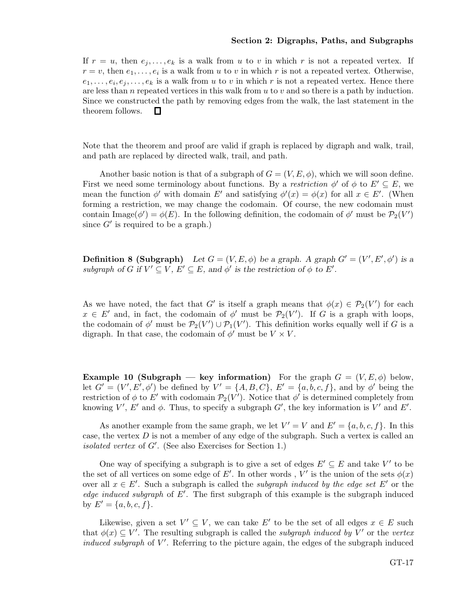### Section 2: Digraphs, Paths, and Subgraphs

If  $r = u$ , then  $e_j, \ldots, e_k$  is a walk from u to v in which r is not a repeated vertex. If  $r = v$ , then  $e_1, \ldots, e_i$  is a walk from u to v in which r is not a repeated vertex. Otherwise,  $e_1, \ldots, e_i, e_j, \ldots, e_k$  is a walk from u to v in which r is not a repeated vertex. Hence there are less than n repeated vertices in this walk from  $u$  to  $v$  and so there is a path by induction. Since we constructed the path by removing edges from the walk, the last statement in the theorem follows.  $\Box$ 

Note that the theorem and proof are valid if graph is replaced by digraph and walk, trail, and path are replaced by directed walk, trail, and path.

Another basic notion is that of a subgraph of  $G = (V, E, \phi)$ , which we will soon define. First we need some terminology about functions. By a restriction  $\phi'$  of  $\phi$  to  $E' \subseteq E$ , we mean the function  $\phi'$  with domain E' and satisfying  $\phi'(x) = \phi(x)$  for all  $x \in E'$ . (When forming a restriction, we may change the codomain. Of course, the new codomain must contain Image( $\phi'$ ) =  $\phi(E)$ . In the following definition, the codomain of  $\phi'$  must be  $\mathcal{P}_2(V')$ since  $G'$  is required to be a graph.)

**Definition 8 (Subgraph)** Let  $G = (V, E, \phi)$  be a graph. A graph  $G' = (V', E', \phi')$  is a subgraph of G if  $V' \subseteq V$ ,  $E' \subseteq E$ , and  $\phi'$  is the restriction of  $\phi$  to  $E'$ .

As we have noted, the fact that G' is itself a graph means that  $\phi(x) \in \mathcal{P}_2(V')$  for each  $x \in E'$  and, in fact, the codomain of  $\phi'$  must be  $\mathcal{P}_2(V')$ . If G is a graph with loops, the codomain of  $\phi'$  must be  $\mathcal{P}_2(V') \cup \mathcal{P}_1(V')$ . This definition works equally well if G is a digraph. In that case, the codomain of  $\phi'$  must be  $V \times V$ .

**Example 10 (Subgraph — key information)** For the graph  $G = (V, E, \phi)$  below, let  $G' = (V', E', \phi')$  be defined by  $V' = \{A, B, C\}$ ,  $E' = \{a, b, c, f\}$ , and by  $\phi'$  being the restriction of  $\phi$  to E' with codomain  $\mathcal{P}_2(V')$ . Notice that  $\phi'$  is determined completely from knowing  $V'$ ,  $E'$  and  $\phi$ . Thus, to specify a subgraph  $G'$ , the key information is  $V'$  and  $E'$ .

As another example from the same graph, we let  $V' = V$  and  $E' = \{a, b, c, f\}$ . In this case, the vertex  $D$  is not a member of any edge of the subgraph. Such a vertex is called an isolated vertex of G′ . (See also Exercises for Section 1.)

One way of specifying a subgraph is to give a set of edges  $E' \subseteq E$  and take V' to be the set of all vertices on some edge of E'. In other words, V' is the union of the sets  $\phi(x)$ over all  $x \in E'$ . Such a subgraph is called the *subgraph induced by the edge set* E' or the edge induced subgraph of  $E'$ . The first subgraph of this example is the subgraph induced by  $E' = \{a, b, c, f\}.$ 

Likewise, given a set  $V' \subseteq V$ , we can take E' to be the set of all edges  $x \in E$  such that  $\phi(x) \subseteq V'$ . The resulting subgraph is called the *subgraph induced by* V' or the vertex induced subgraph of V'. Referring to the picture again, the edges of the subgraph induced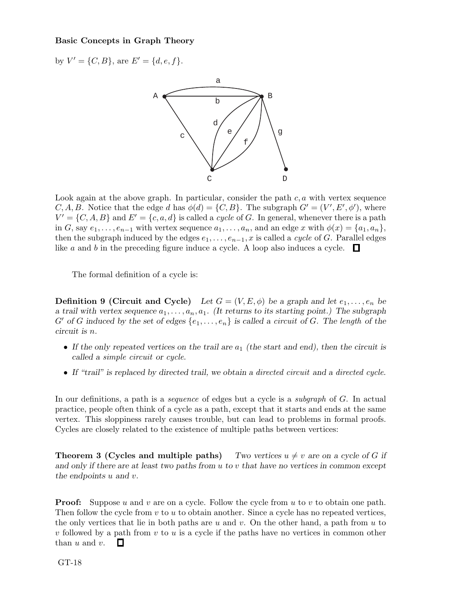by  $V' = \{C, B\}$ , are  $E' = \{d, e, f\}$ .



Look again at the above graph. In particular, consider the path  $c, a$  with vertex sequence C, A, B. Notice that the edge d has  $\phi(d) = \{C, B\}$ . The subgraph  $G' = (V', E', \phi')$ , where  $V' = \{C, A, B\}$  and  $E' = \{c, a, d\}$  is called a *cycle* of G. In general, whenever there is a path in G, say  $e_1, \ldots, e_{n-1}$  with vertex sequence  $a_1, \ldots, a_n$ , and an edge x with  $\phi(x) = \{a_1, a_n\}$ , then the subgraph induced by the edges  $e_1, \ldots, e_{n-1}, x$  is called a *cycle* of G. Parallel edges like a and b in the preceding figure induce a cycle. A loop also induces a cycle.  $\Box$ 

The formal definition of a cycle is:

**Definition 9 (Circuit and Cycle)** Let  $G = (V, E, \phi)$  be a graph and let  $e_1, \ldots, e_n$  be a trail with vertex sequence  $a_1, \ldots, a_n, a_1$ . (It returns to its starting point.) The subgraph  $G'$  of G induced by the set of edges  $\{e_1, \ldots, e_n\}$  is called a circuit of G. The length of the circuit is n.

- If the only repeated vertices on the trail are  $a_1$  (the start and end), then the circuit is called a simple circuit or cycle.
- If "trail" is replaced by directed trail, we obtain a directed circuit and a directed cycle.

In our definitions, a path is a *sequence* of edges but a cycle is a *subgraph* of G. In actual practice, people often think of a cycle as a path, except that it starts and ends at the same vertex. This sloppiness rarely causes trouble, but can lead to problems in formal proofs. Cycles are closely related to the existence of multiple paths between vertices:

**Theorem 3 (Cycles and multiple paths)** Two vertices  $u \neq v$  are on a cycle of G if and only if there are at least two paths from u to v that have no vertices in common except the endpoints u and v.

**Proof:** Suppose u and v are on a cycle. Follow the cycle from u to v to obtain one path. Then follow the cycle from  $v$  to  $u$  to obtain another. Since a cycle has no repeated vertices, the only vertices that lie in both paths are u and v. On the other hand, a path from u to v followed by a path from v to u is a cycle if the paths have no vertices in common other than u and v.  $\Box$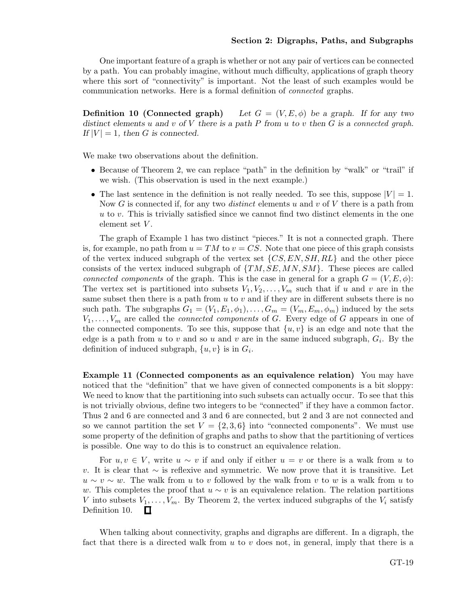### Section 2: Digraphs, Paths, and Subgraphs

One important feature of a graph is whether or not any pair of vertices can be connected by a path. You can probably imagine, without much difficulty, applications of graph theory where this sort of "connectivity" is important. Not the least of such examples would be communication networks. Here is a formal definition of connected graphs.

**Definition 10 (Connected graph)** Let  $G = (V, E, \phi)$  be a graph. If for any two distinct elements u and v of V there is a path P from u to v then G is a connected graph. If  $|V| = 1$ , then G is connected.

We make two observations about the definition.

- Because of Theorem 2, we can replace "path" in the definition by "walk" or "trail" if we wish. (This observation is used in the next example.)
- The last sentence in the definition is not really needed. To see this, suppose  $|V| = 1$ . Now G is connected if, for any two *distinct* elements u and v of V there is a path from  $u$  to  $v$ . This is trivially satisfied since we cannot find two distinct elements in the one element set  $V$ .

The graph of Example 1 has two distinct "pieces." It is not a connected graph. There is, for example, no path from  $u = TM$  to  $v = CS$ . Note that one piece of this graph consists of the vertex induced subgraph of the vertex set  $\{CS, EN, SH, RL\}$  and the other piece consists of the vertex induced subgraph of  $\{TM, SE, MN, SM\}$ . These pieces are called connected components of the graph. This is the case in general for a graph  $G = (V, E, \phi)$ : The vertex set is partitioned into subsets  $V_1, V_2, \ldots, V_m$  such that if u and v are in the same subset then there is a path from  $u$  to  $v$  and if they are in different subsets there is no such path. The subgraphs  $G_1 = (V_1, E_1, \phi_1), \ldots, G_m = (V_m, E_m, \phi_m)$  induced by the sets  $V_1, \ldots, V_m$  are called the *connected components* of G. Every edge of G appears in one of the connected components. To see this, suppose that  $\{u, v\}$  is an edge and note that the edge is a path from u to v and so u and v are in the same induced subgraph,  $G_i$ . By the definition of induced subgraph,  $\{u, v\}$  is in  $G_i$ .

Example 11 (Connected components as an equivalence relation) You may have noticed that the "definition" that we have given of connected components is a bit sloppy: We need to know that the partitioning into such subsets can actually occur. To see that this is not trivially obvious, define two integers to be "connected" if they have a common factor. Thus 2 and 6 are connected and 3 and 6 are connected, but 2 and 3 are not connected and so we cannot partition the set  $V = \{2, 3, 6\}$  into "connected components". We must use some property of the definition of graphs and paths to show that the partitioning of vertices is possible. One way to do this is to construct an equivalence relation.

For  $u, v \in V$ , write  $u \sim v$  if and only if either  $u = v$  or there is a walk from u to v. It is clear that  $\sim$  is reflexive and symmetric. We now prove that it is transitive. Let  $u \sim v \sim w$ . The walk from u to v followed by the walk from v to w is a walk from u to w. This completes the proof that  $u \sim v$  is an equivalence relation. The relation partitions V into subsets  $V_1, \ldots, V_m$ . By Theorem 2, the vertex induced subgraphs of the  $V_i$  satisfy Definition 10. П

When talking about connectivity, graphs and digraphs are different. In a digraph, the fact that there is a directed walk from  $u$  to  $v$  does not, in general, imply that there is a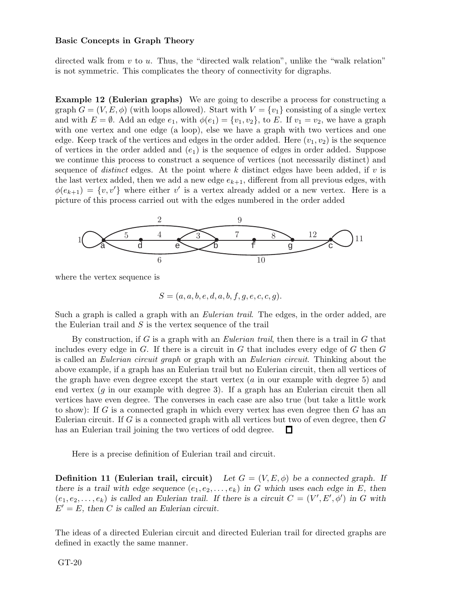directed walk from  $v$  to  $u$ . Thus, the "directed walk relation", unlike the "walk relation" is not symmetric. This complicates the theory of connectivity for digraphs.

Example 12 (Eulerian graphs) We are going to describe a process for constructing a graph  $G = (V, E, \phi)$  (with loops allowed). Start with  $V = \{v_1\}$  consisting of a single vertex and with  $E = \emptyset$ . Add an edge  $e_1$ , with  $\phi(e_1) = \{v_1, v_2\}$ , to E. If  $v_1 = v_2$ , we have a graph with one vertex and one edge (a loop), else we have a graph with two vertices and one edge. Keep track of the vertices and edges in the order added. Here  $(v_1, v_2)$  is the sequence of vertices in the order added and  $(e_1)$  is the sequence of edges in order added. Suppose we continue this process to construct a sequence of vertices (not necessarily distinct) and sequence of *distinct* edges. At the point where k distinct edges have been added, if v is the last vertex added, then we add a new edge  $e_{k+1}$ , different from all previous edges, with  $\phi(e_{k+1}) = \{v, v'\}$  where either v' is a vertex already added or a new vertex. Here is a picture of this process carried out with the edges numbered in the order added



where the vertex sequence is

$$
S = (a, a, b, e, d, a, b, f, g, e, c, c, g).
$$

Such a graph is called a graph with an Eulerian trail. The edges, in the order added, are the Eulerian trail and  $S$  is the vertex sequence of the trail

By construction, if G is a graph with an *Eulerian trail*, then there is a trail in  $G$  that includes every edge in  $G$ . If there is a circuit in  $G$  that includes every edge of  $G$  then  $G$ is called an Eulerian circuit graph or graph with an Eulerian circuit. Thinking about the above example, if a graph has an Eulerian trail but no Eulerian circuit, then all vertices of the graph have even degree except the start vertex  $(a \text{ in our example with degree 5})$  and end vertex  $(g \text{ in our example with degree 3})$ . If a graph has an Eulerian circuit then all vertices have even degree. The converses in each case are also true (but take a little work to show): If G is a connected graph in which every vertex has even degree then G has an Eulerian circuit. If G is a connected graph with all vertices but two of even degree, then  $G$ has an Eulerian trail joining the two vertices of odd degree.  $\Box$ 

Here is a precise definition of Eulerian trail and circuit.

**Definition 11 (Eulerian trail, circuit)** Let  $G = (V, E, \phi)$  be a connected graph. If there is a trail with edge sequence  $(e_1, e_2, \ldots, e_k)$  in G which uses each edge in E, then  $(e_1, e_2, \ldots, e_k)$  is called an Eulerian trail. If there is a circuit  $C = (V', E', \phi')$  in G with  $E' = E$ , then C is called an Eulerian circuit.

The ideas of a directed Eulerian circuit and directed Eulerian trail for directed graphs are defined in exactly the same manner.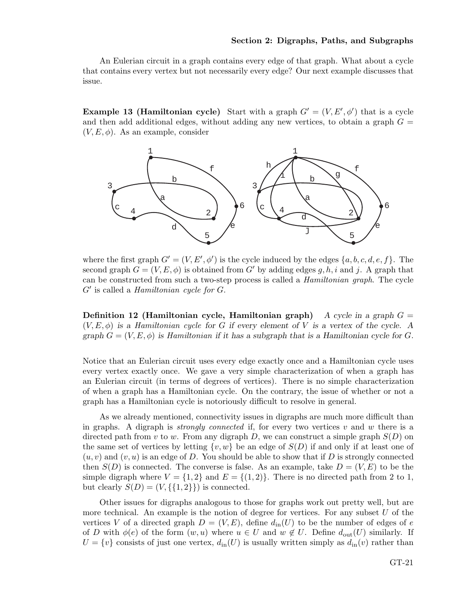### Section 2: Digraphs, Paths, and Subgraphs

An Eulerian circuit in a graph contains every edge of that graph. What about a cycle that contains every vertex but not necessarily every edge? Our next example discusses that issue.

**Example 13 (Hamiltonian cycle)** Start with a graph  $G' = (V, E', \phi')$  that is a cycle and then add additional edges, without adding any new vertices, to obtain a graph  $G =$  $(V, E, \phi)$ . As an example, consider



where the first graph  $G' = (V, E', \phi')$  is the cycle induced by the edges  $\{a, b, c, d, e, f\}$ . The second graph  $G = (V, E, \phi)$  is obtained from G' by adding edges g, h, i and j. A graph that can be constructed from such a two-step process is called a Hamiltonian graph. The cycle G′ is called a Hamiltonian cycle for G.

**Definition 12 (Hamiltonian cycle, Hamiltonian graph)** A cycle in a graph  $G =$  $(V, E, \phi)$  is a Hamiltonian cycle for G if every element of V is a vertex of the cycle. A graph  $G = (V, E, \phi)$  is Hamiltonian if it has a subgraph that is a Hamiltonian cycle for G.

Notice that an Eulerian circuit uses every edge exactly once and a Hamiltonian cycle uses every vertex exactly once. We gave a very simple characterization of when a graph has an Eulerian circuit (in terms of degrees of vertices). There is no simple characterization of when a graph has a Hamiltonian cycle. On the contrary, the issue of whether or not a graph has a Hamiltonian cycle is notoriously difficult to resolve in general.

As we already mentioned, connectivity issues in digraphs are much more difficult than in graphs. A digraph is *strongly connected* if, for every two vertices v and w there is a directed path from v to w. From any digraph  $D$ , we can construct a simple graph  $S(D)$  on the same set of vertices by letting  $\{v, w\}$  be an edge of  $S(D)$  if and only if at least one of  $(u, v)$  and  $(v, u)$  is an edge of D. You should be able to show that if D is strongly connected then  $S(D)$  is connected. The converse is false. As an example, take  $D = (V, E)$  to be the simple digraph where  $V = \{1, 2\}$  and  $E = \{(1, 2)\}\$ . There is no directed path from 2 to 1, but clearly  $S(D) = (V, \{\{1,2\}\})$  is connected.

Other issues for digraphs analogous to those for graphs work out pretty well, but are more technical. An example is the notion of degree for vertices. For any subset  $U$  of the vertices V of a directed graph  $D = (V, E)$ , define  $d_{\text{in}}(U)$  to be the number of edges of e of D with  $\phi(e)$  of the form  $(w, u)$  where  $u \in U$  and  $w \notin U$ . Define  $d_{\text{out}}(U)$  similarly. If  $U = \{v\}$  consists of just one vertex,  $d_{\text{in}}(U)$  is usually written simply as  $d_{\text{in}}(v)$  rather than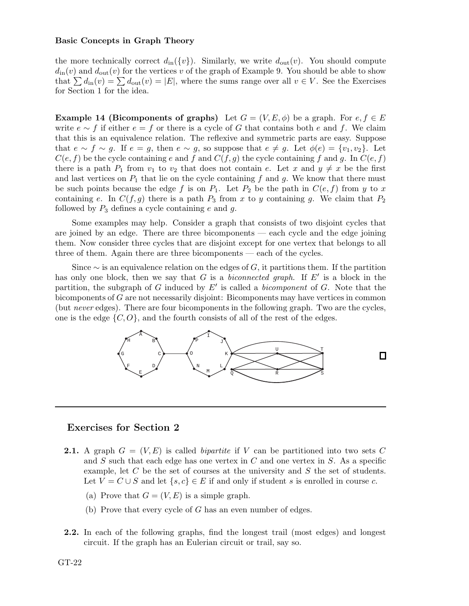the more technically correct  $d_{\text{in}}(\{v\})$ . Similarly, we write  $d_{\text{out}}(v)$ . You should compute  $d_{\text{in}}(v)$  and  $d_{\text{out}}(v)$  for the vertices v of the graph of Example 9. You should be able to show that  $\sum d_{\rm in}(v) = \sum d_{\rm out}(v) = |E|$ , where the sums range over all  $v \in V$ . See the Exercises for Section 1 for the idea.

**Example 14 (Bicomponents of graphs)** Let  $G = (V, E, \phi)$  be a graph. For  $e, f \in E$ write  $e \sim f$  if either  $e = f$  or there is a cycle of G that contains both e and f. We claim that this is an equivalence relation. The reflexive and symmetric parts are easy. Suppose that  $e \sim f \sim g$ . If  $e = g$ , then  $e \sim g$ , so suppose that  $e \neq g$ . Let  $\phi(e) = \{v_1, v_2\}$ . Let  $C(e, f)$  be the cycle containing e and f and  $C(f, g)$  the cycle containing f and g. In  $C(e, f)$ there is a path  $P_1$  from  $v_1$  to  $v_2$  that does not contain e. Let x and  $y \neq x$  be the first and last vertices on  $P_1$  that lie on the cycle containing f and g. We know that there must be such points because the edge f is on  $P_1$ . Let  $P_2$  be the path in  $C(e, f)$  from y to x containing e. In  $C(f, g)$  there is a path  $P_3$  from x to y containing g. We claim that  $P_2$ followed by  $P_3$  defines a cycle containing e and g.

Some examples may help. Consider a graph that consists of two disjoint cycles that are joined by an edge. There are three bicomponents — each cycle and the edge joining them. Now consider three cycles that are disjoint except for one vertex that belongs to all three of them. Again there are three bicomponents — each of the cycles.

Since  $\sim$  is an equivalence relation on the edges of G, it partitions them. If the partition has only one block, then we say that  $G$  is a *biconnected graph*. If  $E'$  is a block in the partition, the subgraph of  $G$  induced by  $E'$  is called a *bicomponent* of  $G$ . Note that the bicomponents of G are not necessarily disjoint: Bicomponents may have vertices in common (but never edges). There are four bicomponents in the following graph. Two are the cycles, one is the edge  $\{C, O\}$ , and the fourth consists of all of the rest of the edges.



## $\Box$

## Exercises for Section 2

- **2.1.** A graph  $G = (V, E)$  is called *bipartite* if V can be partitioned into two sets C and  $S$  such that each edge has one vertex in  $C$  and one vertex in  $S$ . As a specific example, let  $C$  be the set of courses at the university and  $S$  the set of students. Let  $V = C \cup S$  and let  $\{s, c\} \in E$  if and only if student s is enrolled in course c.
	- (a) Prove that  $G = (V, E)$  is a simple graph.
	- (b) Prove that every cycle of G has an even number of edges.
- 2.2. In each of the following graphs, find the longest trail (most edges) and longest circuit. If the graph has an Eulerian circuit or trail, say so.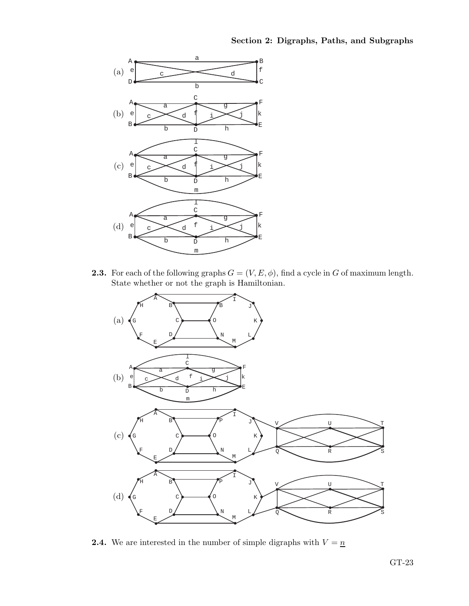

**2.3.** For each of the following graphs  $G = (V, E, \phi)$ , find a cycle in G of maximum length. State whether or not the graph is Hamiltonian.



**2.4.** We are interested in the number of simple digraphs with  $V = \underline{n}$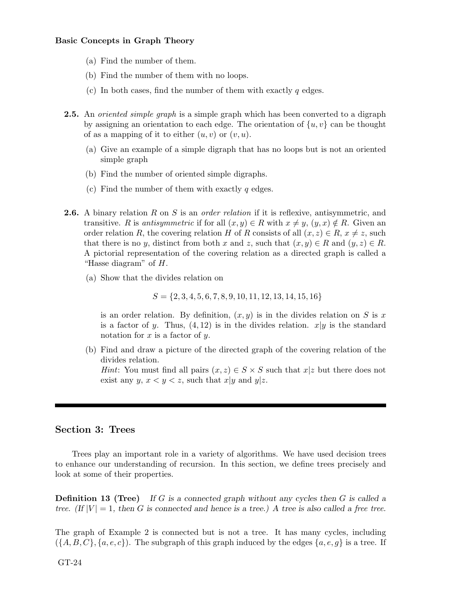- (a) Find the number of them.
- (b) Find the number of them with no loops.
- (c) In both cases, find the number of them with exactly q edges.
- **2.5.** An oriented simple graph is a simple graph which has been converted to a digraph by assigning an orientation to each edge. The orientation of  $\{u, v\}$  can be thought of as a mapping of it to either  $(u, v)$  or  $(v, u)$ .
	- (a) Give an example of a simple digraph that has no loops but is not an oriented simple graph
	- (b) Find the number of oriented simple digraphs.
	- (c) Find the number of them with exactly  $q$  edges.
- **2.6.** A binary relation  $R$  on  $S$  is an *order relation* if it is reflexive, antisymmetric, and transitive. R is antisymmetric if for all  $(x, y) \in R$  with  $x \neq y$ ,  $(y, x) \notin R$ . Given an order relation R, the covering relation H of R consists of all  $(x, z) \in R$ ,  $x \neq z$ , such that there is no y, distinct from both x and z, such that  $(x, y) \in R$  and  $(y, z) \in R$ . A pictorial representation of the covering relation as a directed graph is called a "Hasse diagram" of  $H$ .
	- (a) Show that the divides relation on

 $S = \{2, 3, 4, 5, 6, 7, 8, 9, 10, 11, 12, 13, 14, 15, 16\}$ 

is an order relation. By definition,  $(x, y)$  is in the divides relation on S is x is a factor of y. Thus,  $(4, 12)$  is in the divides relation.  $x|y$  is the standard notation for  $x$  is a factor of  $y$ .

(b) Find and draw a picture of the directed graph of the covering relation of the divides relation.

*Hint*: You must find all pairs  $(x, z) \in S \times S$  such that  $x|z$  but there does not exist any  $y, x < y < z$ , such that  $x|y$  and  $y|z$ .

## Section 3: Trees

Trees play an important role in a variety of algorithms. We have used decision trees to enhance our understanding of recursion. In this section, we define trees precisely and look at some of their properties.

**Definition 13 (Tree)** If G is a connected graph without any cycles then G is called a tree. (If  $|V| = 1$ , then G is connected and hence is a tree.) A tree is also called a free tree.

The graph of Example 2 is connected but is not a tree. It has many cycles, including  $({A, B, C}, {a, e, c})$ . The subgraph of this graph induced by the edges  ${a, e, g}$  is a tree. If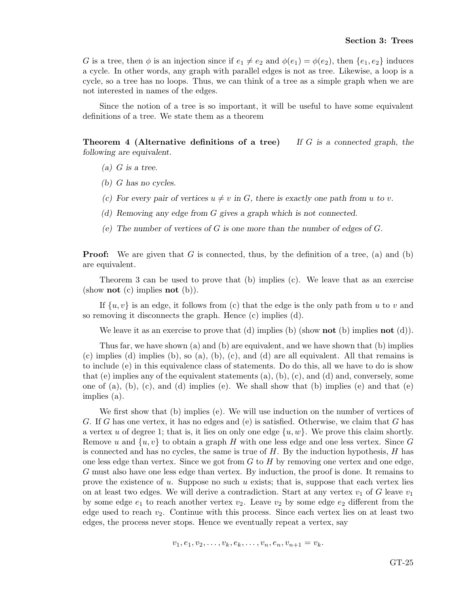G is a tree, then  $\phi$  is an injection since if  $e_1 \neq e_2$  and  $\phi(e_1) = \phi(e_2)$ , then  $\{e_1, e_2\}$  induces a cycle. In other words, any graph with parallel edges is not as tree. Likewise, a loop is a cycle, so a tree has no loops. Thus, we can think of a tree as a simple graph when we are not interested in names of the edges.

Since the notion of a tree is so important, it will be useful to have some equivalent definitions of a tree. We state them as a theorem

**Theorem 4 (Alternative definitions of a tree)** If G is a connected graph, the following are equivalent.

- $(a)$  G is a tree.
- (b) G has no cycles.
- (c) For every pair of vertices  $u \neq v$  in G, there is exactly one path from u to v.
- (d) Removing any edge from G gives a graph which is not connected.
- (e) The number of vertices of  $G$  is one more than the number of edges of  $G$ .

**Proof:** We are given that G is connected, thus, by the definition of a tree, (a) and (b) are equivalent.

Theorem 3 can be used to prove that (b) implies (c). We leave that as an exercise (show **not** (c) implies **not** (b)).

If  $\{u, v\}$  is an edge, it follows from (c) that the edge is the only path from u to v and so removing it disconnects the graph. Hence (c) implies (d).

We leave it as an exercise to prove that (d) implies (b) (show **not** (b) implies **not** (d)).

Thus far, we have shown (a) and (b) are equivalent, and we have shown that (b) implies  $(c)$  implies  $(d)$  implies  $(b)$ , so  $(a)$ ,  $(b)$ ,  $(c)$ , and  $(d)$  are all equivalent. All that remains is to include (e) in this equivalence class of statements. Do do this, all we have to do is show that (e) implies any of the equivalent statements  $(a)$ ,  $(b)$ ,  $(c)$ , and  $(d)$  and, conversely, some one of  $(a)$ ,  $(b)$ ,  $(c)$ , and  $(d)$  implies  $(e)$ . We shall show that  $(b)$  implies  $(e)$  and that  $(e)$ implies (a).

We first show that (b) implies (e). We will use induction on the number of vertices of G. If G has one vertex, it has no edges and (e) is satisfied. Otherwise, we claim that G has a vertex u of degree 1; that is, it lies on only one edge  $\{u, w\}$ . We prove this claim shortly. Remove u and  $\{u, v\}$  to obtain a graph H with one less edge and one less vertex. Since G is connected and has no cycles, the same is true of  $H$ . By the induction hypothesis,  $H$  has one less edge than vertex. Since we got from  $G$  to  $H$  by removing one vertex and one edge, G must also have one less edge than vertex. By induction, the proof is done. It remains to prove the existence of  $u$ . Suppose no such  $u$  exists; that is, suppose that each vertex lies on at least two edges. We will derive a contradiction. Start at any vertex  $v_1$  of G leave  $v_1$ by some edge  $e_1$  to reach another vertex  $v_2$ . Leave  $v_2$  by some edge  $e_2$  different from the edge used to reach  $v_2$ . Continue with this process. Since each vertex lies on at least two edges, the process never stops. Hence we eventually repeat a vertex, say

$$
v_1, e_1, v_2, \ldots, v_k, e_k, \ldots, v_n, e_n, v_{n+1} = v_k.
$$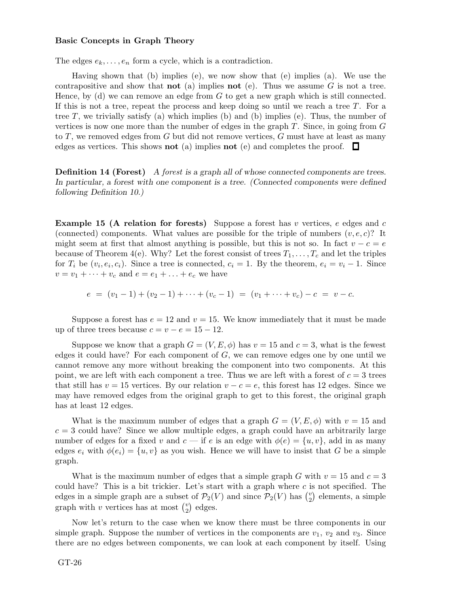The edges  $e_k, \ldots, e_n$  form a cycle, which is a contradiction.

Having shown that (b) implies (e), we now show that (e) implies (a). We use the contrapositive and show that **not** (a) implies **not** (e). Thus we assume G is not a tree. Hence, by  $(d)$  we can remove an edge from G to get a new graph which is still connected. If this is not a tree, repeat the process and keep doing so until we reach a tree  $T$ . For a tree  $T$ , we trivially satisfy (a) which implies (b) and (b) implies (e). Thus, the number of vertices is now one more than the number of edges in the graph  $T$ . Since, in going from  $G$ to  $T$ , we removed edges from  $G$  but did not remove vertices,  $G$  must have at least as many edges as vertices. This shows **not** (a) implies **not** (e) and completes the proof.  $\Box$ 

**Definition 14 (Forest)** A forest is a graph all of whose connected components are trees. In particular, a forest with one component is a tree. (Connected components were defined following Definition 10.)

**Example 15 (A relation for forests)** Suppose a forest has v vertices, e edges and c (connected) components. What values are possible for the triple of numbers  $(v, e, c)$ ? It might seem at first that almost anything is possible, but this is not so. In fact  $v - c = e$ because of Theorem 4(e). Why? Let the forest consist of trees  $T_1, \ldots, T_c$  and let the triples for  $T_i$  be  $(v_i, e_i, c_i)$ . Since a tree is connected,  $c_i = 1$ . By the theorem,  $e_i = v_i - 1$ . Since  $v = v_1 + \cdots + v_c$  and  $e = e_1 + \ldots + e_c$  we have

$$
e = (v_1 - 1) + (v_2 - 1) + \cdots + (v_c - 1) = (v_1 + \cdots + v_c) - c = v - c.
$$

Suppose a forest has  $e = 12$  and  $v = 15$ . We know immediately that it must be made up of three trees because  $c = v - e = 15 - 12$ .

Suppose we know that a graph  $G = (V, E, \phi)$  has  $v = 15$  and  $c = 3$ , what is the fewest edges it could have? For each component of  $G$ , we can remove edges one by one until we cannot remove any more without breaking the component into two components. At this point, we are left with each component a tree. Thus we are left with a forest of  $c = 3$  trees that still has  $v = 15$  vertices. By our relation  $v - c = e$ , this forest has 12 edges. Since we may have removed edges from the original graph to get to this forest, the original graph has at least 12 edges.

What is the maximum number of edges that a graph  $G = (V, E, \phi)$  with  $v = 15$  and  $c = 3$  could have? Since we allow multiple edges, a graph could have an arbitrarily large number of edges for a fixed v and  $c$  — if e is an edge with  $\phi(e) = \{u, v\}$ , add in as many edges  $e_i$  with  $\phi(e_i) = \{u, v\}$  as you wish. Hence we will have to insist that G be a simple graph.

What is the maximum number of edges that a simple graph G with  $v = 15$  and  $c = 3$ could have? This is a bit trickier. Let's start with a graph where  $c$  is not specified. The edges in a simple graph are a subset of  $\mathcal{P}_2(V)$  and since  $\mathcal{P}_2(V)$  has  $\binom{v}{2}$  $2 \choose 2$  elements, a simple graph with v vertices has at most  $\binom{v}{2}$  $_{2}^{v}$ ) edges.

Now let's return to the case when we know there must be three components in our simple graph. Suppose the number of vertices in the components are  $v_1$ ,  $v_2$  and  $v_3$ . Since there are no edges between components, we can look at each component by itself. Using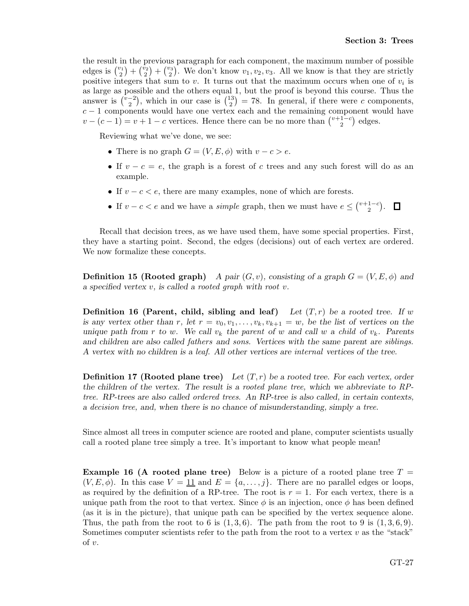the result in the previous paragraph for each component, the maximum number of possible edges is  $\binom{v_1}{2}$  $\binom{v_1}{2} + \binom{v_2}{2}$  $\binom{v_2}{2} + \binom{v_3}{2}$  $2^{23}_{2}$ ). We don't know  $v_1, v_2, v_3$ . All we know is that they are strictly positive integers that sum to v. It turns out that the maximum occurs when one of  $v_i$  is as large as possible and the others equal 1, but the proof is beyond this course. Thus the answer is  $\binom{v-2}{2}$  $\binom{-2}{2}$ , which in our case is  $\binom{13}{2}$  $\binom{13}{2}$  = 78. In general, if there were c components,  $c-1$  components would have one vertex each and the remaining component would have  $v - (c - 1) = v + 1 - c$  vertices. Hence there can be no more than  $\binom{v+1-c}{2}$  $\binom{1-c}{2}$  edges.

Reviewing what we've done, we see:

- There is no graph  $G = (V, E, \phi)$  with  $v c > e$ .
- If  $v c = e$ , the graph is a forest of c trees and any such forest will do as an example.
- If  $v c < e$ , there are many examples, none of which are forests.
- If  $v c < e$  and we have a *simple* graph, then we must have  $e \leq {v+1-c \choose 2}$  $\binom{1-c}{2}$ .

Recall that decision trees, as we have used them, have some special properties. First, they have a starting point. Second, the edges (decisions) out of each vertex are ordered. We now formalize these concepts.

**Definition 15 (Rooted graph)** A pair  $(G, v)$ , consisting of a graph  $G = (V, E, \phi)$  and a specified vertex v, is called a rooted graph with root v.

**Definition 16 (Parent, child, sibling and leaf)** Let  $(T, r)$  be a rooted tree. If w is any vertex other than r, let  $r = v_0, v_1, \ldots, v_k, v_{k+1} = w$ , be the list of vertices on the unique path from r to w. We call  $v_k$  the parent of w and call w a child of  $v_k$ . Parents and children are also called fathers and sons. Vertices with the same parent are siblings. A vertex with no children is a leaf. All other vertices are internal vertices of the tree.

**Definition 17 (Rooted plane tree)** Let  $(T, r)$  be a rooted tree. For each vertex, order the children of the vertex. The result is a rooted plane tree, which we abbreviate to RPtree. RP-trees are also called ordered trees. An RP-tree is also called, in certain contexts, a decision tree, and, when there is no chance of misunderstanding, simply a tree.

Since almost all trees in computer science are rooted and plane, computer scientists usually call a rooted plane tree simply a tree. It's important to know what people mean!

**Example 16 (A rooted plane tree)** Below is a picture of a rooted plane tree  $T =$  $(V, E, \phi)$ . In this case  $V = 11$  and  $E = \{a, \ldots, j\}$ . There are no parallel edges or loops, as required by the definition of a RP-tree. The root is  $r = 1$ . For each vertex, there is a unique path from the root to that vertex. Since  $\phi$  is an injection, once  $\phi$  has been defined (as it is in the picture), that unique path can be specified by the vertex sequence alone. Thus, the path from the root to 6 is  $(1,3,6)$ . The path from the root to 9 is  $(1,3,6,9)$ . Sometimes computer scientists refer to the path from the root to a vertex  $v$  as the "stack" of v.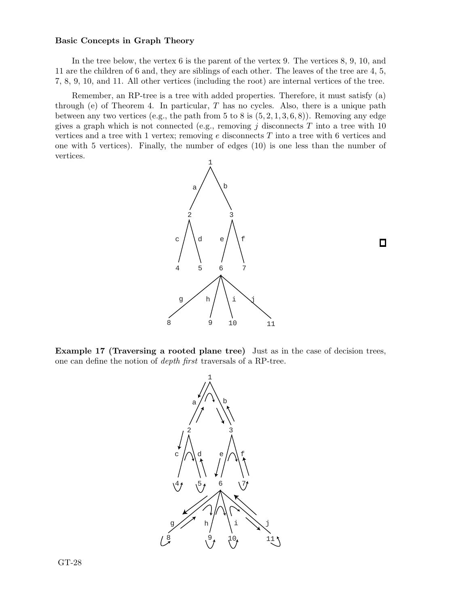In the tree below, the vertex 6 is the parent of the vertex 9. The vertices 8, 9, 10, and 11 are the children of 6 and, they are siblings of each other. The leaves of the tree are 4, 5, 7, 8, 9, 10, and 11. All other vertices (including the root) are internal vertices of the tree.

Remember, an RP-tree is a tree with added properties. Therefore, it must satisfy (a) through (e) of Theorem 4. In particular,  $T$  has no cycles. Also, there is a unique path between any two vertices (e.g., the path from  $5$  to  $8$  is  $(5, 2, 1, 3, 6, 8)$ ). Removing any edge gives a graph which is not connected (e.g., removing  $j$  disconnects  $T$  into a tree with 10 vertices and a tree with 1 vertex; removing  $e$  disconnects  $T$  into a tree with 6 vertices and one with 5 vertices). Finally, the number of edges (10) is one less than the number of vertices.



 $\Box$ 

Example 17 (Traversing a rooted plane tree) Just as in the case of decision trees, one can define the notion of depth first traversals of a RP-tree.

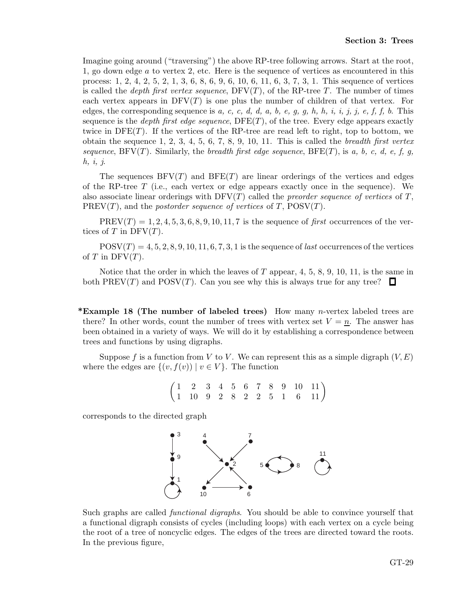Imagine going around ("traversing") the above RP-tree following arrows. Start at the root, 1, go down edge a to vertex 2, etc. Here is the sequence of vertices as encountered in this process: 1, 2, 4, 2, 5, 2, 1, 3, 6, 8, 6, 9, 6, 10, 6, 11, 6, 3, 7, 3, 1. This sequence of vertices is called the *depth first vertex sequence*,  $DFV(T)$ , of the RP-tree T. The number of times each vertex appears in  $DFV(T)$  is one plus the number of children of that vertex. For edges, the corresponding sequence is a, c, c, d, d, a, b, e, g, g, h, h, i, i, j, j, e, f, f, b. This sequence is the *depth first edge sequence*,  $DFE(T)$ , of the tree. Every edge appears exactly twice in  $DFE(T)$ . If the vertices of the RP-tree are read left to right, top to bottom, we obtain the sequence 1, 2, 3, 4, 5, 6, 7, 8, 9, 10, 11. This is called the *breadth first vertex* sequence,  $BFV(T)$ . Similarly, the breadth first edge sequence,  $BFE(T)$ , is a, b, c, d, e, f, g, h, i, j.

The sequences  $BFV(T)$  and  $BFE(T)$  are linear orderings of the vertices and edges of the RP-tree  $T$  (i.e., each vertex or edge appears exactly once in the sequence). We also associate linear orderings with  $DFV(T)$  called the *preorder sequence of vertices* of T,  $PREV(T)$ , and the *postorder sequence of vertices* of T,  $POSV(T)$ .

 $PREV(T) = 1, 2, 4, 5, 3, 6, 8, 9, 10, 11, 7$  is the sequence of first occurrences of the vertices of  $T$  in  $DFV(T)$ .

 $POSV(T) = 4, 5, 2, 8, 9, 10, 11, 6, 7, 3, 1$  is the sequence of *last* occurrences of the vertices of T in  $DFV(T)$ .

Notice that the order in which the leaves of T appear,  $4, 5, 8, 9, 10, 11$ , is the same in both PREV(T) and POSV(T). Can you see why this is always true for any tree?  $\Box$ 

\*Example 18 (The number of labeled trees) How many  $n$ -vertex labeled trees are there? In other words, count the number of trees with vertex set  $V = n$ . The answer has been obtained in a variety of ways. We will do it by establishing a correspondence between trees and functions by using digraphs.

Suppose f is a function from V to V. We can represent this as a simple digraph  $(V, E)$ where the edges are  $\{(v, f(v)) \mid v \in V\}$ . The function

$$
\begin{pmatrix}\n1 & 2 & 3 & 4 & 5 & 6 & 7 & 8 & 9 & 10 & 11 \\
1 & 10 & 9 & 2 & 8 & 2 & 2 & 5 & 1 & 6 & 11\n\end{pmatrix}
$$

corresponds to the directed graph



Such graphs are called *functional digraphs*. You should be able to convince yourself that a functional digraph consists of cycles (including loops) with each vertex on a cycle being the root of a tree of noncyclic edges. The edges of the trees are directed toward the roots. In the previous figure,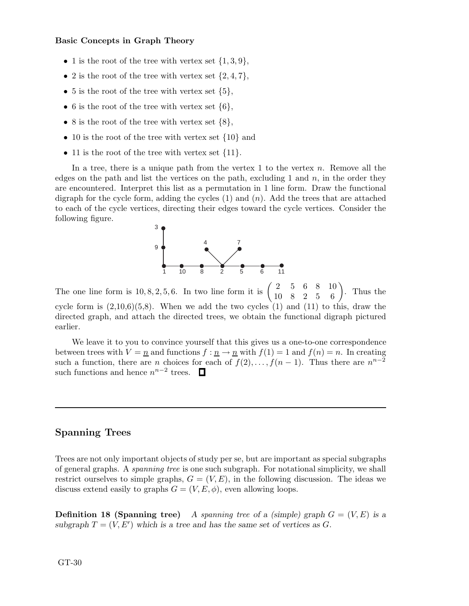- 1 is the root of the tree with vertex set  $\{1,3,9\},\$
- 2 is the root of the tree with vertex set  $\{2, 4, 7\}$ ,
- 5 is the root of the tree with vertex set  $\{5\}$ ,
- 6 is the root of the tree with vertex set  $\{6\}$ ,
- 8 is the root of the tree with vertex set  $\{8\}$ ,
- 10 is the root of the tree with vertex set  $\{10\}$  and
- 11 is the root of the tree with vertex set  $\{11\}$ .

In a tree, there is a unique path from the vertex 1 to the vertex  $n$ . Remove all the edges on the path and list the vertices on the path, excluding 1 and  $n$ , in the order they are encountered. Interpret this list as a permutation in 1 line form. Draw the functional digraph for the cycle form, adding the cycles  $(1)$  and  $(n)$ . Add the trees that are attached to each of the cycle vertices, directing their edges toward the cycle vertices. Consider the following figure.



The one line form is 10, 8, 2, 5, 6. In two line form it is  $\begin{pmatrix} 2 & 5 & 6 & 8 & 10 \\ 10 & 8 & 2 & 5 & 6 \end{pmatrix}$ . Thus the cycle form is  $(2,10,6)(5,8)$ . When we add the two cycles  $(1)$  and  $(11)$  to this, draw the directed graph, and attach the directed trees, we obtain the functional digraph pictured earlier.

We leave it to you to convince yourself that this gives us a one-to-one correspondence between trees with  $V = \underline{n}$  and functions  $f : \underline{n} \to \underline{n}$  with  $f(1) = 1$  and  $f(n) = n$ . In creating such a function, there are *n* choices for each of  $f(2), \ldots, f(n-1)$ . Thus there are  $n^{n-2}$ such functions and hence  $n^{n-2}$  trees.

## Spanning Trees

Trees are not only important objects of study per se, but are important as special subgraphs of general graphs. A spanning tree is one such subgraph. For notational simplicity, we shall restrict ourselves to simple graphs,  $G = (V, E)$ , in the following discussion. The ideas we discuss extend easily to graphs  $G = (V, E, \phi)$ , even allowing loops.

**Definition 18 (Spanning tree)** A spanning tree of a (simple) graph  $G = (V, E)$  is a subgraph  $T = (V, E')$  which is a tree and has the same set of vertices as G.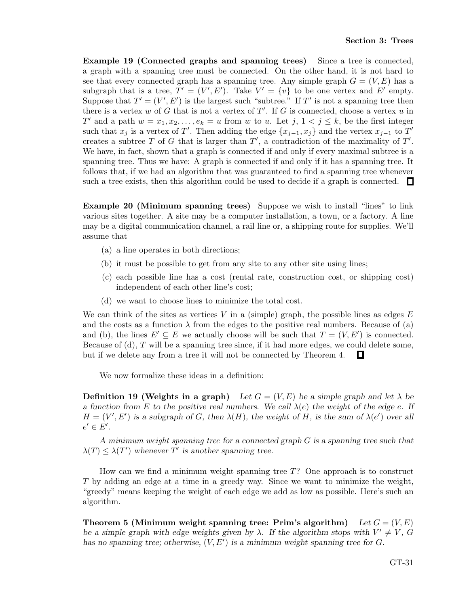Example 19 (Connected graphs and spanning trees) Since a tree is connected, a graph with a spanning tree must be connected. On the other hand, it is not hard to see that every connected graph has a spanning tree. Any simple graph  $G = (V, E)$  has a subgraph that is a tree,  $T' = (V', E')$ . Take  $V' = \{v\}$  to be one vertex and E' empty. Suppose that  $T' = (V', E')$  is the largest such "subtree." If T' is not a spanning tree then there is a vertex  $w$  of  $G$  that is not a vertex of  $T'$ . If  $G$  is connected, choose a vertex  $u$  in T' and a path  $w = x_1, x_2, \ldots, e_k = u$  from w to u. Let  $j, 1 \le j \le k$ , be the first integer such that  $x_j$  is a vertex of T'. Then adding the edge  $\{x_{j-1}, x_j\}$  and the vertex  $x_{j-1}$  to T' creates a subtree T of G that is larger than  $T'$ , a contradiction of the maximality of  $T'$ . We have, in fact, shown that a graph is connected if and only if every maximal subtree is a spanning tree. Thus we have: A graph is connected if and only if it has a spanning tree. It follows that, if we had an algorithm that was guaranteed to find a spanning tree whenever such a tree exists, then this algorithm could be used to decide if a graph is connected.  $\Box$ 

Example 20 (Minimum spanning trees) Suppose we wish to install "lines" to link various sites together. A site may be a computer installation, a town, or a factory. A line may be a digital communication channel, a rail line or, a shipping route for supplies. We'll assume that

- (a) a line operates in both directions;
- (b) it must be possible to get from any site to any other site using lines;
- (c) each possible line has a cost (rental rate, construction cost, or shipping cost) independent of each other line's cost;
- (d) we want to choose lines to minimize the total cost.

We can think of the sites as vertices V in a (simple) graph, the possible lines as edges  $E$ and the costs as a function  $\lambda$  from the edges to the positive real numbers. Because of (a) and (b), the lines  $E' \subseteq E$  we actually choose will be such that  $T = (V, E')$  is connected. Because of  $(d)$ , T will be a spanning tree since, if it had more edges, we could delete some, but if we delete any from a tree it will not be connected by Theorem 4.

We now formalize these ideas in a definition:

**Definition 19 (Weights in a graph)** Let  $G = (V, E)$  be a simple graph and let  $\lambda$  be a function from E to the positive real numbers. We call  $\lambda(e)$  the weight of the edge e. If  $H = (V', E')$  is a subgraph of G, then  $\lambda(H)$ , the weight of H, is the sum of  $\lambda(e')$  over all  $e' \in E'.$ 

A minimum weight spanning tree for a connected graph G is a spanning tree such that  $\lambda(T) \leq \lambda(T')$  whenever T' is another spanning tree.

How can we find a minimum weight spanning tree  $T$ ? One approach is to construct T by adding an edge at a time in a greedy way. Since we want to minimize the weight, "greedy" means keeping the weight of each edge we add as low as possible. Here's such an algorithm.

Theorem 5 (Minimum weight spanning tree: Prim's algorithm) Let  $G = (V, E)$ be a simple graph with edge weights given by  $\lambda$ . If the algorithm stops with  $V' \neq V$ , G has no spanning tree; otherwise,  $(V, E')$  is a minimum weight spanning tree for  $G$ .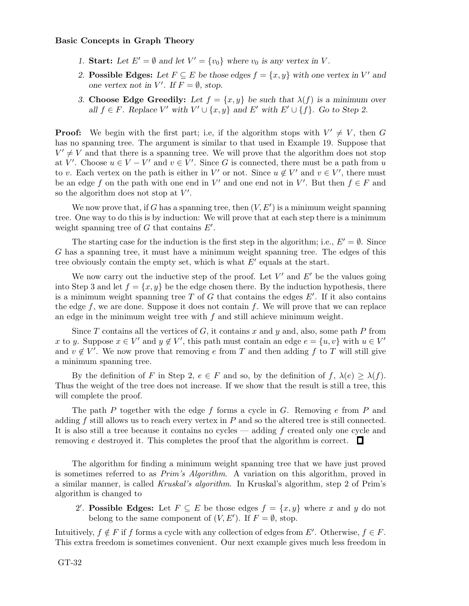- 1. Start: Let  $E' = \emptyset$  and let  $V' = \{v_0\}$  where  $v_0$  is any vertex in V.
- 2. **Possible Edges:** Let  $F \subseteq E$  be those edges  $f = \{x, y\}$  with one vertex in V' and one vertex not in  $V'$ . If  $F = \emptyset$ , stop.
- 3. Choose Edge Greedily: Let  $f = \{x, y\}$  be such that  $\lambda(f)$  is a minimum over all  $f \in F$ . Replace V' with  $V' \cup \{x, y\}$  and E' with  $E' \cup \{f\}$ . Go to Step 2.

**Proof:** We begin with the first part; i.e, if the algorithm stops with  $V' \neq V$ , then G has no spanning tree. The argument is similar to that used in Example 19. Suppose that  $V' \neq V$  and that there is a spanning tree. We will prove that the algorithm does not stop at V'. Choose  $u \in V - V'$  and  $v \in V'$ . Since G is connected, there must be a path from u to v. Each vertex on the path is either in V' or not. Since  $u \notin V'$  and  $v \in V'$ , there must be an edge f on the path with one end in V' and one end not in V'. But then  $f \in F$  and so the algorithm does not stop at  $V'$ .

We now prove that, if G has a spanning tree, then  $(V, E')$  is a minimum weight spanning tree. One way to do this is by induction: We will prove that at each step there is a minimum weight spanning tree of  $G$  that contains  $E'$ .

The starting case for the induction is the first step in the algorithm; i.e.,  $E' = \emptyset$ . Since G has a spanning tree, it must have a minimum weight spanning tree. The edges of this tree obviously contain the empty set, which is what  $E'$  equals at the start.

We now carry out the inductive step of the proof. Let  $V'$  and  $E'$  be the values going into Step 3 and let  $f = \{x, y\}$  be the edge chosen there. By the induction hypothesis, there is a minimum weight spanning tree  $T$  of  $G$  that contains the edges  $E'$ . If it also contains the edge  $f$ , we are done. Suppose it does not contain  $f$ . We will prove that we can replace an edge in the minimum weight tree with  $f$  and still achieve minimum weight.

Since T contains all the vertices of G, it contains x and y and, also, some path P from x to y. Suppose  $x \in V'$  and  $y \notin V'$ , this path must contain an edge  $e = \{u, v\}$  with  $u \in V'$ and  $v \notin V'$ . We now prove that removing e from T and then adding f to T will still give a minimum spanning tree.

By the definition of F in Step 2,  $e \in F$  and so, by the definition of  $f, \lambda(e) \geq \lambda(f)$ . Thus the weight of the tree does not increase. If we show that the result is still a tree, this will complete the proof.

The path  $P$  together with the edge  $f$  forms a cycle in  $G$ . Removing  $e$  from  $P$  and adding  $f$  still allows us to reach every vertex in  $P$  and so the altered tree is still connected. It is also still a tree because it contains no cycles — adding f created only one cycle and removing e destroyed it. This completes the proof that the algorithm is correct.  $\Box$ 

The algorithm for finding a minimum weight spanning tree that we have just proved is sometimes referred to as Prim's Algorithm. A variation on this algorithm, proved in a similar manner, is called Kruskal's algorithm. In Kruskal's algorithm, step 2 of Prim's algorithm is changed to

2'. Possible Edges: Let  $F \subseteq E$  be those edges  $f = \{x, y\}$  where x and y do not belong to the same component of  $(V, E')$ . If  $F = \emptyset$ , stop.

Intuitively,  $f \notin F$  if f forms a cycle with any collection of edges from E'. Otherwise,  $f \in F$ . This extra freedom is sometimes convenient. Our next example gives much less freedom in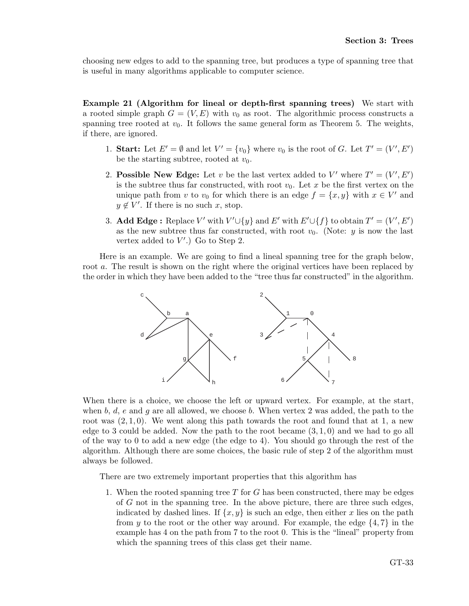choosing new edges to add to the spanning tree, but produces a type of spanning tree that is useful in many algorithms applicable to computer science.

Example 21 (Algorithm for lineal or depth-first spanning trees) We start with a rooted simple graph  $G = (V, E)$  with  $v_0$  as root. The algorithmic process constructs a spanning tree rooted at  $v_0$ . It follows the same general form as Theorem 5. The weights, if there, are ignored.

- 1. Start: Let  $E' = \emptyset$  and let  $V' = \{v_0\}$  where  $v_0$  is the root of G. Let  $T' = (V', E')$ be the starting subtree, rooted at  $v_0$ .
- 2. Possible New Edge: Let v be the last vertex added to V' where  $T' = (V', E')$ is the subtree thus far constructed, with root  $v_0$ . Let x be the first vertex on the unique path from v to  $v_0$  for which there is an edge  $f = \{x, y\}$  with  $x \in V'$  and  $y \notin V'$ . If there is no such x, stop.
- 3. Add Edge: Replace V' with  $V' \cup \{y\}$  and E' with  $E' \cup \{f\}$  to obtain  $T' = (V', E')$ as the new subtree thus far constructed, with root  $v_0$ . (Note: y is now the last vertex added to  $V'$ .) Go to Step 2.

Here is an example. We are going to find a lineal spanning tree for the graph below, root a. The result is shown on the right where the original vertices have been replaced by the order in which they have been added to the "tree thus far constructed" in the algorithm.



When there is a choice, we choose the left or upward vertex. For example, at the start, when b, d, e and g are all allowed, we choose b. When vertex 2 was added, the path to the root was  $(2, 1, 0)$ . We went along this path towards the root and found that at 1, a new edge to 3 could be added. Now the path to the root became  $(3, 1, 0)$  and we had to go all of the way to 0 to add a new edge (the edge to 4). You should go through the rest of the algorithm. Although there are some choices, the basic rule of step 2 of the algorithm must always be followed.

There are two extremely important properties that this algorithm has

1. When the rooted spanning tree  $T$  for  $G$  has been constructed, there may be edges of G not in the spanning tree. In the above picture, there are three such edges, indicated by dashed lines. If  $\{x, y\}$  is such an edge, then either x lies on the path from y to the root or the other way around. For example, the edge  $\{4, 7\}$  in the example has 4 on the path from 7 to the root 0. This is the "lineal" property from which the spanning trees of this class get their name.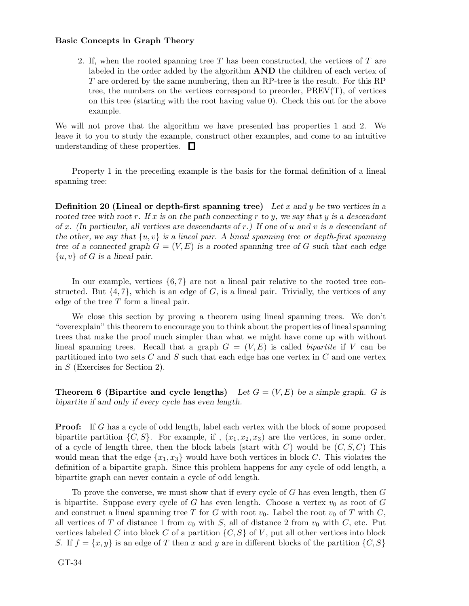2. If, when the rooted spanning tree  $T$  has been constructed, the vertices of  $T$  are labeled in the order added by the algorithm **AND** the children of each vertex of T are ordered by the same numbering, then an RP-tree is the result. For this RP tree, the numbers on the vertices correspond to preorder, PREV(T), of vertices on this tree (starting with the root having value 0). Check this out for the above example.

We will not prove that the algorithm we have presented has properties 1 and 2. We leave it to you to study the example, construct other examples, and come to an intuitive understanding of these properties.  $\Box$ 

Property 1 in the preceding example is the basis for the formal definition of a lineal spanning tree:

**Definition 20 (Lineal or depth-first spanning tree)** Let x and y be two vertices in a rooted tree with root r. If x is on the path connecting r to y, we say that y is a descendant of x. (In particular, all vertices are descendants of  $r$ .) If one of u and v is a descendant of the other, we say that  $\{u, v\}$  is a lineal pair. A lineal spanning tree or depth-first spanning tree of a connected graph  $G = (V, E)$  is a rooted spanning tree of G such that each edge  $\{u, v\}$  of G is a lineal pair.

In our example, vertices  $\{6, 7\}$  are not a lineal pair relative to the rooted tree constructed. But  $\{4, 7\}$ , which is an edge of G, is a lineal pair. Trivially, the vertices of any edge of the tree T form a lineal pair.

We close this section by proving a theorem using lineal spanning trees. We don't "overexplain" this theorem to encourage you to think about the properties of lineal spanning trees that make the proof much simpler than what we might have come up with without lineal spanning trees. Recall that a graph  $G = (V, E)$  is called *bipartite* if V can be partitioned into two sets  $C$  and  $S$  such that each edge has one vertex in  $C$  and one vertex in S (Exercises for Section 2).

**Theorem 6 (Bipartite and cycle lengths)** Let  $G = (V, E)$  be a simple graph. G is bipartite if and only if every cycle has even length.

**Proof:** If G has a cycle of odd length, label each vertex with the block of some proposed bipartite partition  $\{C, S\}$ . For example, if,  $(x_1, x_2, x_3)$  are the vertices, in some order, of a cycle of length three, then the block labels (start with C) would be  $(C, S, C)$  This would mean that the edge  $\{x_1, x_3\}$  would have both vertices in block C. This violates the definition of a bipartite graph. Since this problem happens for any cycle of odd length, a bipartite graph can never contain a cycle of odd length.

To prove the converse, we must show that if every cycle of  $G$  has even length, then  $G$ is bipartite. Suppose every cycle of G has even length. Choose a vertex  $v_0$  as root of G and construct a lineal spanning tree T for G with root  $v_0$ . Label the root  $v_0$  of T with C, all vertices of T of distance 1 from  $v_0$  with S, all of distance 2 from  $v_0$  with C, etc. Put vertices labeled C into block C of a partition  $\{C, S\}$  of V, put all other vertices into block S. If  $f = \{x, y\}$  is an edge of T then x and y are in different blocks of the partition  $\{C, S\}$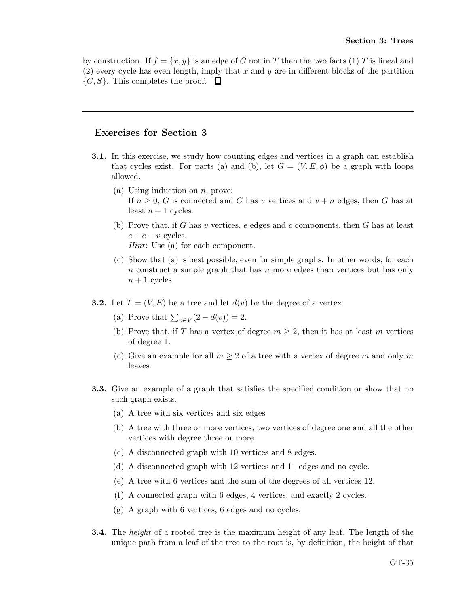by construction. If  $f = \{x, y\}$  is an edge of G not in T then the two facts (1) T is lineal and  $(2)$  every cycle has even length, imply that x and y are in different blocks of the partition  $\{C, S\}$ . This completes the proof.  $\Box$ 

## Exercises for Section 3

- 3.1. In this exercise, we study how counting edges and vertices in a graph can establish that cycles exist. For parts (a) and (b), let  $G = (V, E, \phi)$  be a graph with loops allowed.
	- (a) Using induction on  $n$ , prove: If  $n \geq 0$ , G is connected and G has v vertices and  $v + n$  edges, then G has at least  $n+1$  cycles.
	- (b) Prove that, if G has v vertices,  $e$  edges and c components, then G has at least  $c + e - v$  cycles.

Hint: Use (a) for each component.

- (c) Show that (a) is best possible, even for simple graphs. In other words, for each n construct a simple graph that has n more edges than vertices but has only  $n+1$  cycles.
- **3.2.** Let  $T = (V, E)$  be a tree and let  $d(v)$  be the degree of a vertex
	- (a) Prove that  $\sum_{v \in V} (2 d(v)) = 2$ .
	- (b) Prove that, if T has a vertex of degree  $m \geq 2$ , then it has at least m vertices of degree 1.
	- (c) Give an example for all  $m \geq 2$  of a tree with a vertex of degree m and only m leaves.
- 3.3. Give an example of a graph that satisfies the specified condition or show that no such graph exists.
	- (a) A tree with six vertices and six edges
	- (b) A tree with three or more vertices, two vertices of degree one and all the other vertices with degree three or more.
	- (c) A disconnected graph with 10 vertices and 8 edges.
	- (d) A disconnected graph with 12 vertices and 11 edges and no cycle.
	- (e) A tree with 6 vertices and the sum of the degrees of all vertices 12.
	- (f) A connected graph with 6 edges, 4 vertices, and exactly 2 cycles.
	- (g) A graph with 6 vertices, 6 edges and no cycles.
- 3.4. The height of a rooted tree is the maximum height of any leaf. The length of the unique path from a leaf of the tree to the root is, by definition, the height of that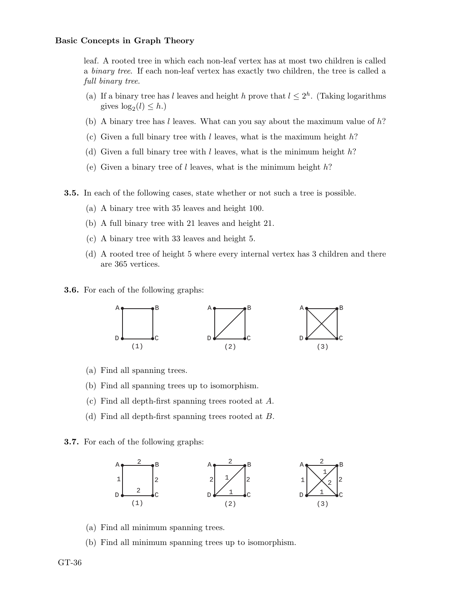leaf. A rooted tree in which each non-leaf vertex has at most two children is called a binary tree. If each non-leaf vertex has exactly two children, the tree is called a full binary tree.

- (a) If a binary tree has l leaves and height h prove that  $l \leq 2<sup>h</sup>$ . (Taking logarithms gives  $log_2(l) \leq h.$ )
- (b) A binary tree has l leaves. What can you say about the maximum value of  $h$ ?
- (c) Given a full binary tree with l leaves, what is the maximum height  $h$ ?
- (d) Given a full binary tree with l leaves, what is the minimum height  $h$ ?
- (e) Given a binary tree of  $l$  leaves, what is the minimum height  $h$ ?
- 3.5. In each of the following cases, state whether or not such a tree is possible.
	- (a) A binary tree with 35 leaves and height 100.
	- (b) A full binary tree with 21 leaves and height 21.
	- (c) A binary tree with 33 leaves and height 5.
	- (d) A rooted tree of height 5 where every internal vertex has 3 children and there are 365 vertices.
- 3.6. For each of the following graphs:



- (a) Find all spanning trees.
- (b) Find all spanning trees up to isomorphism.
- (c) Find all depth-first spanning trees rooted at A.
- (d) Find all depth-first spanning trees rooted at B.
- 3.7. For each of the following graphs:



- (a) Find all minimum spanning trees.
- (b) Find all minimum spanning trees up to isomorphism.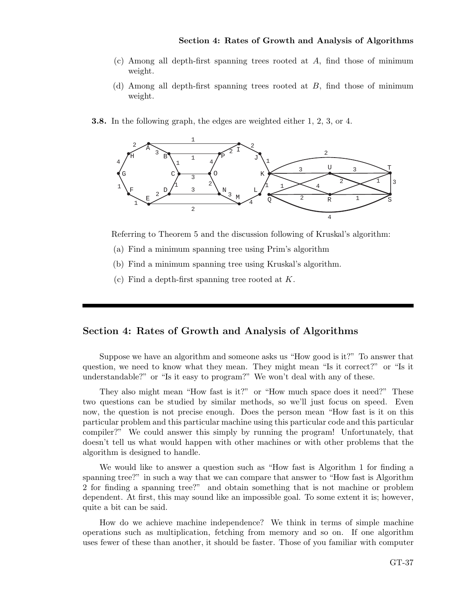### Section 4: Rates of Growth and Analysis of Algorithms

- $(c)$  Among all depth-first spanning trees rooted at A, find those of minimum weight.
- (d) Among all depth-first spanning trees rooted at  $B$ , find those of minimum weight.
- 3.8. In the following graph, the edges are weighted either 1, 2, 3, or 4.



Referring to Theorem 5 and the discussion following of Kruskal's algorithm:

- (a) Find a minimum spanning tree using Prim's algorithm
- (b) Find a minimum spanning tree using Kruskal's algorithm.
- (c) Find a depth-first spanning tree rooted at K.

## Section 4: Rates of Growth and Analysis of Algorithms

Suppose we have an algorithm and someone asks us "How good is it?" To answer that question, we need to know what they mean. They might mean "Is it correct?" or "Is it understandable?" or "Is it easy to program?" We won't deal with any of these.

They also might mean "How fast is it?" or "How much space does it need?" These two questions can be studied by similar methods, so we'll just focus on speed. Even now, the question is not precise enough. Does the person mean "How fast is it on this particular problem and this particular machine using this particular code and this particular compiler?" We could answer this simply by running the program! Unfortunately, that doesn't tell us what would happen with other machines or with other problems that the algorithm is designed to handle.

We would like to answer a question such as "How fast is Algorithm 1 for finding a spanning tree?" in such a way that we can compare that answer to "How fast is Algorithm 2 for finding a spanning tree?" and obtain something that is not machine or problem dependent. At first, this may sound like an impossible goal. To some extent it is; however, quite a bit can be said.

How do we achieve machine independence? We think in terms of simple machine operations such as multiplication, fetching from memory and so on. If one algorithm uses fewer of these than another, it should be faster. Those of you familiar with computer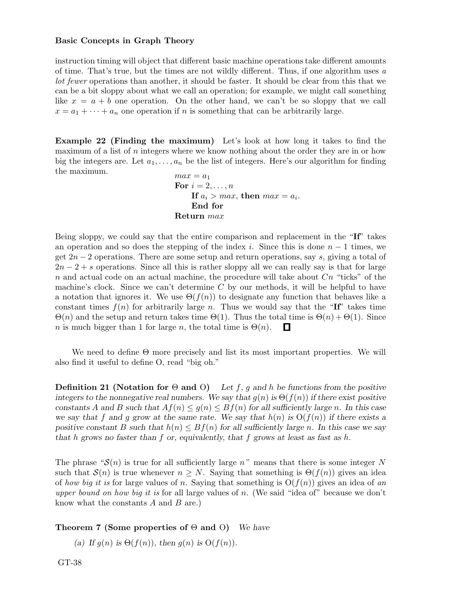instruction timing will object that different basic machine operations take different amounts of time. That's true, but the times are not wildly different. Thus, if one algorithm uses  $a$ lot fewer operations than another, it should be faster. It should be clear from this that we can be a bit sloppy about what we call an operation; for example, we might call something like  $x = a + b$  one operation. On the other hand, we can't be so sloppy that we call  $x = a_1 + \cdots + a_n$  one operation if n is something that can be arbitrarily large.

Example 22 (Finding the maximum) Let's look at how long it takes to find the maximum of a list of  $n$  integers where we know nothing about the order they are in or how big the integers are. Let  $a_1, \ldots, a_n$  be the list of integers. Here's our algorithm for finding the maximum.

$$
max = a_1
$$
  
For  $i = 2,...,n$   
If  $a_i > max$ , then  $max = a_i$ .  
End for  
Return  $max$ 

Being sloppy, we could say that the entire comparison and replacement in the "If" takes an operation and so does the stepping of the index i. Since this is done  $n - 1$  times, we get  $2n-2$  operations. There are some setup and return operations, say s, giving a total of  $2n-2+s$  operations. Since all this is rather sloppy all we can really say is that for large n and actual code on an actual machine, the procedure will take about  $C_n$  "ticks" of the machine's clock. Since we can't determine  $C$  by our methods, it will be helpful to have a notation that ignores it. We use  $\Theta(f(n))$  to designate any function that behaves like a constant times  $f(n)$  for arbitrarily large n. Thus we would say that the "If" takes time  $\Theta(n)$  and the setup and return takes time  $\Theta(1)$ . Thus the total time is  $\Theta(n) + \Theta(1)$ . Since n is much bigger than 1 for large n, the total time is  $\Theta(n)$ .  $\Box$ 

We need to define  $\Theta$  more precisely and list its most important properties. We will also find it useful to define O, read "big oh."

**Definition 21** (Notation for  $\Theta$  and  $\Theta$ ) Let f, g and h be functions from the positive integers to the nonnegative real numbers. We say that  $g(n)$  is  $\Theta(f(n))$  if there exist positive constants A and B such that  $Af(n) \leq g(n) \leq Bf(n)$  for all sufficiently large n. In this case we say that f and q grow at the same rate. We say that  $h(n)$  is  $O(f(n))$  if there exists a positive constant B such that  $h(n) \leq Bf(n)$  for all sufficiently large n. In this case we say that h grows no faster than f or, equivalently, that f grows at least as fast as h.

The phrase " $\mathcal{S}(n)$  is true for all sufficiently large n" means that there is some integer N such that  $\mathcal{S}(n)$  is true whenever  $n \geq N$ . Saying that something is  $\Theta(f(n))$  gives an idea of how big it is for large values of n. Saying that something is  $O(f(n))$  gives an idea of an upper bound on how big it is for all large values of n. (We said "idea of" because we don't know what the constants  $A$  and  $B$  are.)

## Theorem 7 (Some properties of  $\Theta$  and  $\Theta$ ) We have

(a) If  $q(n)$  is  $\Theta(f(n))$ , then  $q(n)$  is  $\Theta(f(n))$ .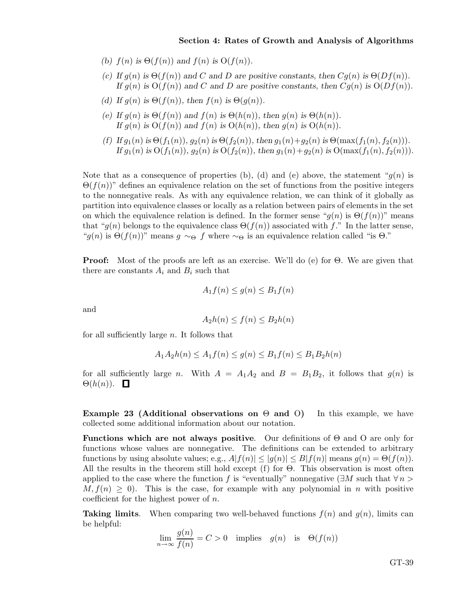- (b)  $f(n)$  is  $\Theta(f(n))$  and  $f(n)$  is  $\Theta(f(n))$ .
- (c) If  $g(n)$  is  $\Theta(f(n))$  and C and D are positive constants, then  $Cg(n)$  is  $\Theta(Df(n))$ . If  $g(n)$  is  $O(f(n))$  and C and D are positive constants, then  $Cg(n)$  is  $O(Df(n))$ .
- (d) If  $g(n)$  is  $\Theta(f(n))$ , then  $f(n)$  is  $\Theta(g(n))$ .
- (e) If  $g(n)$  is  $\Theta(f(n))$  and  $f(n)$  is  $\Theta(h(n))$ , then  $g(n)$  is  $\Theta(h(n))$ . If  $g(n)$  is  $O(f(n))$  and  $f(n)$  is  $O(h(n))$ , then  $g(n)$  is  $O(h(n))$ .
- (f) If  $g_1(n)$  is  $\Theta(f_1(n)), g_2(n)$  is  $\Theta(f_2(n)),$  then  $g_1(n)+g_2(n)$  is  $\Theta(\max(f_1(n), f_2(n))).$ If  $g_1(n)$  is  $O(f_1(n)), g_2(n)$  is  $O(f_2(n)),$  then  $g_1(n)+g_2(n)$  is  $O(max(f_1(n), f_2(n))).$

Note that as a consequence of properties (b), (d) and (e) above, the statement " $g(n)$  is  $\Theta(f(n))$ " defines an equivalence relation on the set of functions from the positive integers to the nonnegative reals. As with any equivalence relation, we can think of it globally as partition into equivalence classes or locally as a relation between pairs of elements in the set on which the equivalence relation is defined. In the former sense " $q(n)$  is  $\Theta(f(n))$ " means that "g(n) belongs to the equivalence class  $\Theta(f(n))$  associated with f." In the latter sense, "g(n) is  $\Theta(f(n))$ " means g ~ $\Theta$  f where ~ $\Theta$  is an equivalence relation called "is  $\Theta$ ."

Proof: Most of the proofs are left as an exercise. We'll do (e) for Θ. We are given that there are constants  $A_i$  and  $B_i$  such that

$$
A_1 f(n) \le g(n) \le B_1 f(n)
$$

and

$$
A_2h(n) \le f(n) \le B_2h(n)
$$

for all sufficiently large  $n$ . It follows that

$$
A_1 A_2 h(n) \le A_1 f(n) \le g(n) \le B_1 f(n) \le B_1 B_2 h(n)
$$

for all sufficiently large n. With  $A = A_1 A_2$  and  $B = B_1 B_2$ , it follows that  $g(n)$  is  $\Theta(h(n))$ .  $\Box$ 

**Example 23 (Additional observations on**  $\Theta$  and  $\Theta$ ) In this example, we have collected some additional information about our notation.

Functions which are not always positive. Our definitions of Θ and O are only for functions whose values are nonnegative. The definitions can be extended to arbitrary functions by using absolute values; e.g.,  $A|f(n)| \le |g(n)| \le B|f(n)|$  means  $g(n) = \Theta(f(n))$ . All the results in the theorem still hold except (f) for Θ. This observation is most often applied to the case where the function f is "eventually" nonnegative ( $\exists M$  such that  $\forall n$ )  $M, f(n) \geq 0$ . This is the case, for example with any polynomial in n with positive coefficient for the highest power of n.

**Taking limits.** When comparing two well-behaved functions  $f(n)$  and  $g(n)$ , limits can be helpful:  $\sqrt{ }$ 

$$
\lim_{n \to \infty} \frac{g(n)}{f(n)} = C > 0 \quad \text{implies} \quad g(n) \quad \text{is} \quad \Theta(f(n))
$$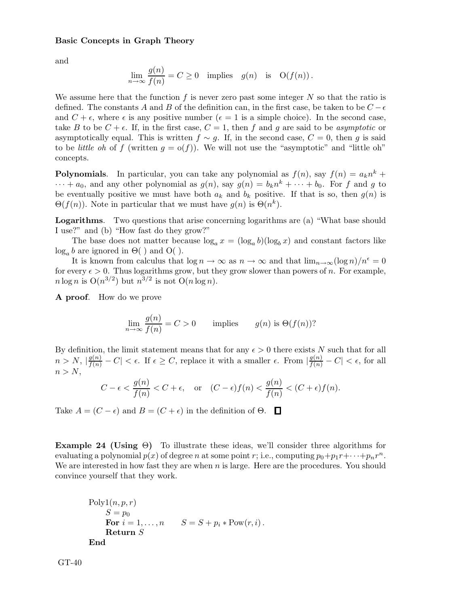and

$$
\lim_{n \to \infty} \frac{g(n)}{f(n)} = C \ge 0 \quad \text{implies} \quad g(n) \quad \text{is} \quad \mathcal{O}(f(n)).
$$

We assume here that the function  $f$  is never zero past some integer  $N$  so that the ratio is defined. The constants A and B of the definition can, in the first case, be taken to be  $C - \epsilon$ and  $C + \epsilon$ , where  $\epsilon$  is any positive number ( $\epsilon = 1$  is a simple choice). In the second case, take B to be  $C + \epsilon$ . If, in the first case,  $C = 1$ , then f and g are said to be asymptotic or asymptotically equal. This is written  $f \sim g$ . If, in the second case,  $C = 0$ , then g is said to be *little oh* of f (written  $g = o(f)$ ). We will not use the "asymptotic" and "little oh" concepts.

**Polynomials.** In particular, you can take any polynomial as  $f(n)$ , say  $f(n) = a_k n^k +$  $\cdots + a_0$ , and any other polynomial as  $g(n)$ , say  $g(n) = b_k n^k + \cdots + b_0$ . For f and g to be eventually positive we must have both  $a_k$  and  $b_k$  positive. If that is so, then  $g(n)$  is  $\Theta(f(n))$ . Note in particular that we must have  $g(n)$  is  $\Theta(n^k)$ .

Logarithms. Two questions that arise concerning logarithms are (a) "What base should I use?" and (b) "How fast do they grow?"

The base does not matter because  $\log_a x = (\log_a b)(\log_b x)$  and constant factors like  $log_a b$  are ignored in  $\Theta( )$  and  $\Theta( )$ .

It is known from calculus that  $\log n \to \infty$  as  $n \to \infty$  and that  $\lim_{n \to \infty} (\log n)/n^{\epsilon} = 0$ for every  $\epsilon > 0$ . Thus logarithms grow, but they grow slower than powers of *n*. For example,  $n \log n$  is  $O(n^{3/2})$  but  $n^{3/2}$  is not  $O(n \log n)$ .

A proof. How do we prove

$$
\lim_{n \to \infty} \frac{g(n)}{f(n)} = C > 0 \quad \text{implies} \quad g(n) \text{ is } \Theta(f(n))?
$$

By definition, the limit statement means that for any  $\epsilon > 0$  there exists N such that for all  $n > N, |\frac{g(n)}{f(n)} - C| < \epsilon$ . If  $\epsilon \ge C$ , replace it with a smaller  $\epsilon$ . From  $|\frac{g(n)}{f(n)} - C| < \epsilon$ , for all  $n > N$ ,

$$
C - \epsilon < \frac{g(n)}{f(n)} < C + \epsilon, \quad \text{or} \quad (C - \epsilon)f(n) < \frac{g(n)}{f(n)} < (C + \epsilon)f(n).
$$

Take  $A = (C - \epsilon)$  and  $B = (C + \epsilon)$  in the definition of  $\Theta$ .

Example 24 (Using  $\Theta$ ) To illustrate these ideas, we'll consider three algorithms for evaluating a polynomial  $p(x)$  of degree n at some point r; i.e., computing  $p_0+p_1r+\cdots+p_nr^n$ . We are interested in how fast they are when  $n$  is large. Here are the procedures. You should convince yourself that they work.

$$
Poly1(n, p, r)
$$
  
\n
$$
S = p_0
$$
  
\n**For**  $i = 1, ..., n$  
$$
S = S + p_i * Pow(r, i).
$$
  
\n**Return** S

GT-40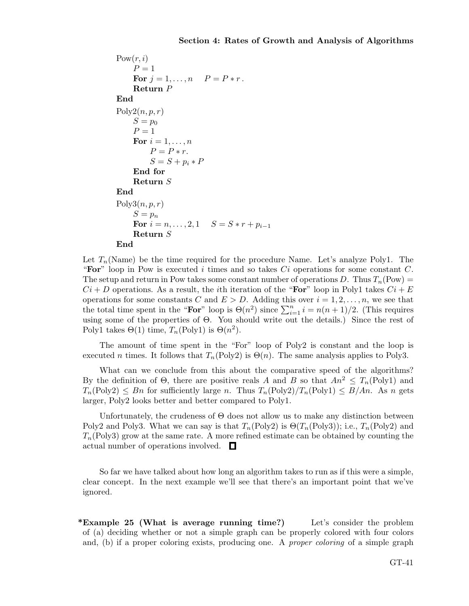```
Pow(r, i)P = 1For j = 1, ..., n P = P * r.
    Return P
End
Poly2(n, p, r)S = p_0P=1For i = 1, \ldots, nP = P * r.
        S = S + p_i * PEnd for
    Return S
End
Poly3(n, p, r)S = p_nFor i = n, \ldots, 2, 1 S = S * r + p_{i-1}Return S
End
```
Let  $T_n(\text{Name})$  be the time required for the procedure Name. Let's analyze Poly1. The "For" loop in Pow is executed i times and so takes  $Ci$  operations for some constant  $C$ . The setup and return in Pow takes some constant number of operations D. Thus  $T_n(Pow) =$  $Ci + D$  operations. As a result, the *i*th iteration of the "**For**" loop in Poly1 takes  $Ci + E$ operations for some constants C and  $E > D$ . Adding this over  $i = 1, 2, \ldots, n$ , we see that the total time spent in the "For" loop is  $\Theta(n^2)$  since  $\sum_{i=1}^n i = n(n+1)/2$ . (This requires using some of the properties of Θ. You should write out the details.) Since the rest of Poly1 takes  $\Theta(1)$  time,  $T_n(\text{Poly1})$  is  $\Theta(n^2)$ .

The amount of time spent in the "For" loop of Poly2 is constant and the loop is executed n times. It follows that  $T_n(\text{Poly2})$  is  $\Theta(n)$ . The same analysis applies to Poly3.

What can we conclude from this about the comparative speed of the algorithms? By the definition of  $\Theta$ , there are positive reals A and B so that  $An^2 \leq T_n(\text{Poly1})$  and  $T_n(\text{Poly2}) \leq B_n$  for sufficiently large n. Thus  $T_n(\text{Poly2})/T_n(\text{Poly1}) \leq B/An$ . As n gets larger, Poly2 looks better and better compared to Poly1.

Unfortunately, the crudeness of  $\Theta$  does not allow us to make any distinction between Poly2 and Poly3. What we can say is that  $T_n(Poly2)$  is  $\Theta(T_n(Poly3))$ ; i.e.,  $T_n(Poly2)$  and  $T_n(\text{Poly3})$  grow at the same rate. A more refined estimate can be obtained by counting the actual number of operations involved.

So far we have talked about how long an algorithm takes to run as if this were a simple, clear concept. In the next example we'll see that there's an important point that we've ignored.

\*Example 25 (What is average running time?) Let's consider the problem of (a) deciding whether or not a simple graph can be properly colored with four colors and, (b) if a proper coloring exists, producing one. A *proper coloring* of a simple graph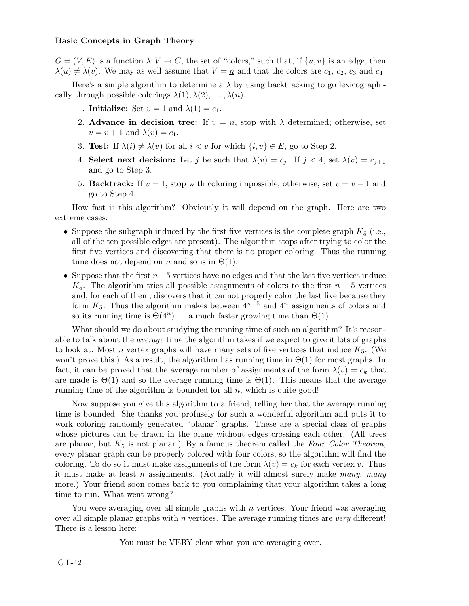$G = (V, E)$  is a function  $\lambda: V \to C$ , the set of "colors," such that, if  $\{u, v\}$  is an edge, then  $\lambda(u) \neq \lambda(v)$ . We may as well assume that  $V = \underline{n}$  and that the colors are  $c_1$ ,  $c_2$ ,  $c_3$  and  $c_4$ .

Here's a simple algorithm to determine a  $\lambda$  by using backtracking to go lexicographically through possible colorings  $\lambda(1), \lambda(2), \ldots, \lambda(n)$ .

- 1. **Initialize:** Set  $v = 1$  and  $\lambda(1) = c_1$ .
- 2. Advance in decision tree: If  $v = n$ , stop with  $\lambda$  determined; otherwise, set  $v = v + 1$  and  $\lambda(v) = c_1$ .
- 3. Test: If  $\lambda(i) \neq \lambda(v)$  for all  $i < v$  for which  $\{i, v\} \in E$ , go to Step 2.
- 4. Select next decision: Let j be such that  $\lambda(v) = c_i$ . If  $j < 4$ , set  $\lambda(v) = c_{i+1}$ and go to Step 3.
- 5. **Backtrack:** If  $v = 1$ , stop with coloring impossible; otherwise, set  $v = v 1$  and go to Step 4.

How fast is this algorithm? Obviously it will depend on the graph. Here are two extreme cases:

- Suppose the subgraph induced by the first five vertices is the complete graph  $K_5$  (i.e., all of the ten possible edges are present). The algorithm stops after trying to color the first five vertices and discovering that there is no proper coloring. Thus the running time does not depend on n and so is in  $\Theta(1)$ .
- Suppose that the first  $n-5$  vertices have no edges and that the last five vertices induce  $K_5$ . The algorithm tries all possible assignments of colors to the first  $n-5$  vertices and, for each of them, discovers that it cannot properly color the last five because they form  $K_5$ . Thus the algorithm makes between  $4^{n-5}$  and  $4^n$  assignments of colors and so its running time is  $\Theta(4^n)$  — a much faster growing time than  $\Theta(1)$ .

What should we do about studying the running time of such an algorithm? It's reasonable to talk about the *average* time the algorithm takes if we expect to give it lots of graphs to look at. Most n vertex graphs will have many sets of five vertices that induce  $K_5$ . (We won't prove this.) As a result, the algorithm has running time in  $\Theta(1)$  for most graphs. In fact, it can be proved that the average number of assignments of the form  $\lambda(v) = c_k$  that are made is  $\Theta(1)$  and so the average running time is  $\Theta(1)$ . This means that the average running time of the algorithm is bounded for all  $n$ , which is quite good!

Now suppose you give this algorithm to a friend, telling her that the average running time is bounded. She thanks you profusely for such a wonderful algorithm and puts it to work coloring randomly generated "planar" graphs. These are a special class of graphs whose pictures can be drawn in the plane without edges crossing each other. (All trees are planar, but  $K_5$  is not planar.) By a famous theorem called the Four Color Theorem, every planar graph can be properly colored with four colors, so the algorithm will find the coloring. To do so it must make assignments of the form  $\lambda(v) = c_k$  for each vertex v. Thus it must make at least  $n$  assignments. (Actually it will almost surely make many, many more.) Your friend soon comes back to you complaining that your algorithm takes a long time to run. What went wrong?

You were averaging over all simple graphs with  $n$  vertices. Your friend was averaging over all simple planar graphs with n vertices. The average running times are *very* different! There is a lesson here:

You must be VERY clear what you are averaging over.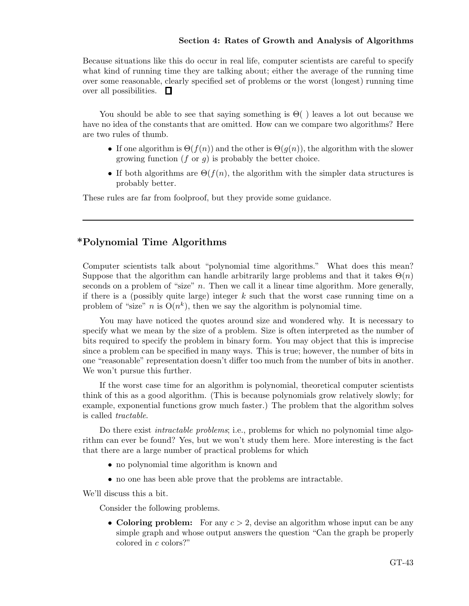### Section 4: Rates of Growth and Analysis of Algorithms

Because situations like this do occur in real life, computer scientists are careful to specify what kind of running time they are talking about; either the average of the running time over some reasonable, clearly specified set of problems or the worst (longest) running time over all possibilities.  $\square$ 

You should be able to see that saying something is  $\Theta$  ) leaves a lot out because we have no idea of the constants that are omitted. How can we compare two algorithms? Here are two rules of thumb.

- If one algorithm is  $\Theta(f(n))$  and the other is  $\Theta(q(n))$ , the algorithm with the slower growing function  $(f \text{ or } g)$  is probably the better choice.
- If both algorithms are  $\Theta(f(n))$ , the algorithm with the simpler data structures is probably better.

These rules are far from foolproof, but they provide some guidance.

## \*Polynomial Time Algorithms

Computer scientists talk about "polynomial time algorithms." What does this mean? Suppose that the algorithm can handle arbitrarily large problems and that it takes  $\Theta(n)$ seconds on a problem of "size"  $n$ . Then we call it a linear time algorithm. More generally, if there is a (possibly quite large) integer  $k$  such that the worst case running time on a problem of "size" *n* is  $O(n^k)$ , then we say the algorithm is polynomial time.

You may have noticed the quotes around size and wondered why. It is necessary to specify what we mean by the size of a problem. Size is often interpreted as the number of bits required to specify the problem in binary form. You may object that this is imprecise since a problem can be specified in many ways. This is true; however, the number of bits in one "reasonable" representation doesn't differ too much from the number of bits in another. We won't pursue this further.

If the worst case time for an algorithm is polynomial, theoretical computer scientists think of this as a good algorithm. (This is because polynomials grow relatively slowly; for example, exponential functions grow much faster.) The problem that the algorithm solves is called tractable.

Do there exist *intractable problems*; i.e., problems for which no polynomial time algorithm can ever be found? Yes, but we won't study them here. More interesting is the fact that there are a large number of practical problems for which

- no polynomial time algorithm is known and
- no one has been able prove that the problems are intractable.

We'll discuss this a bit.

Consider the following problems.

• Coloring problem: For any  $c > 2$ , devise an algorithm whose input can be any simple graph and whose output answers the question "Can the graph be properly colored in c colors?"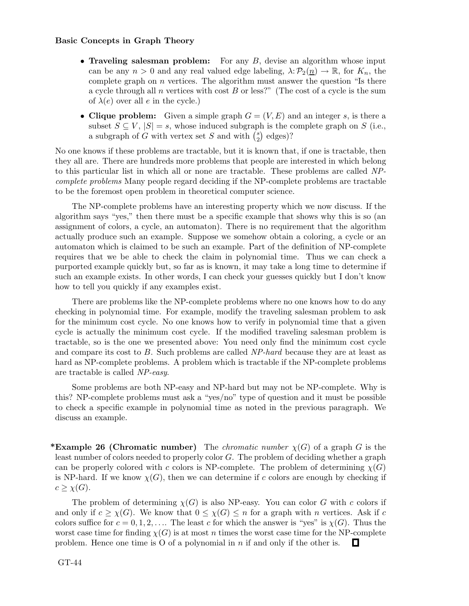- Traveling salesman problem: For any  $B$ , devise an algorithm whose input can be any  $n > 0$  and any real valued edge labeling,  $\lambda: \mathcal{P}_2(n) \to \mathbb{R}$ , for  $K_n$ , the complete graph on  $n$  vertices. The algorithm must answer the question "Is there a cycle through all n vertices with cost B or less?" (The cost of a cycle is the sum of  $\lambda(e)$  over all e in the cycle.)
- Clique problem: Given a simple graph  $G = (V, E)$  and an integer s, is there a subset  $S \subseteq V$ ,  $|S| = s$ , whose induced subgraph is the complete graph on S (i.e., a subgraph of G with vertex set S and with  $\binom{s}{2}$  $_2^s$ ) edges)?

No one knows if these problems are tractable, but it is known that, if one is tractable, then they all are. There are hundreds more problems that people are interested in which belong to this particular list in which all or none are tractable. These problems are called NPcomplete problems Many people regard deciding if the NP-complete problems are tractable to be the foremost open problem in theoretical computer science.

The NP-complete problems have an interesting property which we now discuss. If the algorithm says "yes," then there must be a specific example that shows why this is so (an assignment of colors, a cycle, an automaton). There is no requirement that the algorithm actually produce such an example. Suppose we somehow obtain a coloring, a cycle or an automaton which is claimed to be such an example. Part of the definition of NP-complete requires that we be able to check the claim in polynomial time. Thus we can check a purported example quickly but, so far as is known, it may take a long time to determine if such an example exists. In other words, I can check your guesses quickly but I don't know how to tell you quickly if any examples exist.

There are problems like the NP-complete problems where no one knows how to do any checking in polynomial time. For example, modify the traveling salesman problem to ask for the minimum cost cycle. No one knows how to verify in polynomial time that a given cycle is actually the minimum cost cycle. If the modified traveling salesman problem is tractable, so is the one we presented above: You need only find the minimum cost cycle and compare its cost to  $B$ . Such problems are called  $NP$ -hard because they are at least as hard as NP-complete problems. A problem which is tractable if the NP-complete problems are tractable is called NP-easy.

Some problems are both NP-easy and NP-hard but may not be NP-complete. Why is this? NP-complete problems must ask a "yes/no" type of question and it must be possible to check a specific example in polynomial time as noted in the previous paragraph. We discuss an example.

\*Example 26 (Chromatic number) The *chromatic number*  $\chi(G)$  of a graph G is the least number of colors needed to properly color G. The problem of deciding whether a graph can be properly colored with c colors is NP-complete. The problem of determining  $\chi(G)$ is NP-hard. If we know  $\chi(G)$ , then we can determine if c colors are enough by checking if  $c \geq \chi(G)$ .

The problem of determining  $\chi(G)$  is also NP-easy. You can color G with c colors if and only if  $c \geq \chi(G)$ . We know that  $0 \leq \chi(G) \leq n$  for a graph with n vertices. Ask if c colors suffice for  $c = 0, 1, 2, \ldots$  The least c for which the answer is "yes" is  $\chi(G)$ . Thus the worst case time for finding  $\chi(G)$  is at most n times the worst case time for the NP-complete problem. Hence one time is  $O$  of a polynomial in n if and only if the other is. 0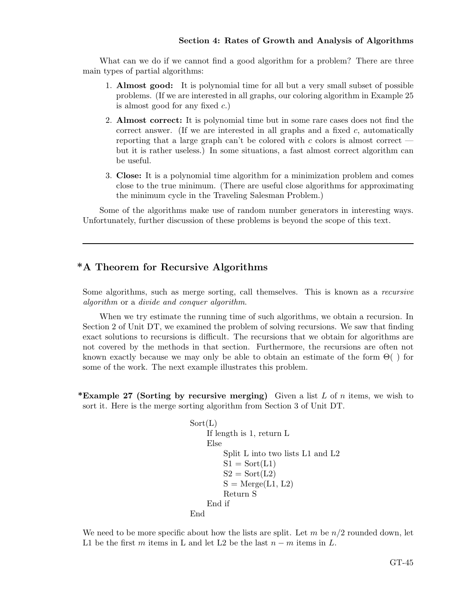### Section 4: Rates of Growth and Analysis of Algorithms

What can we do if we cannot find a good algorithm for a problem? There are three main types of partial algorithms:

- 1. Almost good: It is polynomial time for all but a very small subset of possible problems. (If we are interested in all graphs, our coloring algorithm in Example 25 is almost good for any fixed  $c$ .)
- 2. Almost correct: It is polynomial time but in some rare cases does not find the correct answer. (If we are interested in all graphs and a fixed  $c$ , automatically reporting that a large graph can't be colored with c colors is almost correct  $$ but it is rather useless.) In some situations, a fast almost correct algorithm can be useful.
- 3. Close: It is a polynomial time algorithm for a minimization problem and comes close to the true minimum. (There are useful close algorithms for approximating the minimum cycle in the Traveling Salesman Problem.)

Some of the algorithms make use of random number generators in interesting ways. Unfortunately, further discussion of these problems is beyond the scope of this text.

## \*A Theorem for Recursive Algorithms

Some algorithms, such as merge sorting, call themselves. This is known as a recursive algorithm or a divide and conquer algorithm.

When we try estimate the running time of such algorithms, we obtain a recursion. In Section 2 of Unit DT, we examined the problem of solving recursions. We saw that finding exact solutions to recursions is difficult. The recursions that we obtain for algorithms are not covered by the methods in that section. Furthermore, the recursions are often not known exactly because we may only be able to obtain an estimate of the form  $\Theta$  ) for some of the work. The next example illustrates this problem.

\*Example 27 (Sorting by recursive merging) Given a list  $L$  of n items, we wish to sort it. Here is the merge sorting algorithm from Section 3 of Unit DT.

```
Sort(L)If length is 1, return L
    Else
         Split L into two lists L1 and L2
         S1 = Sort(L1)S2 = Sort(L2)S = \text{Merge}(L1, L2)Return S
    End if
End
```
We need to be more specific about how the lists are split. Let m be  $n/2$  rounded down, let L1 be the first m items in L and let L2 be the last  $n - m$  items in L.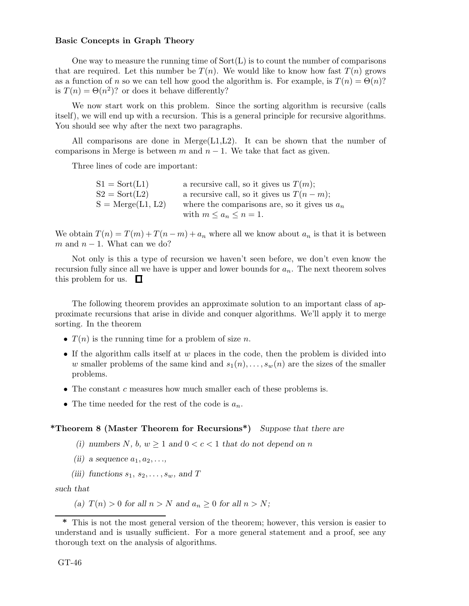One way to measure the running time of  $Sort(L)$  is to count the number of comparisons that are required. Let this number be  $T(n)$ . We would like to know how fast  $T(n)$  grows as a function of n so we can tell how good the algorithm is. For example, is  $T(n) = \Theta(n)$ ? is  $T(n) = \Theta(n^2)$ ? or does it behave differently?

We now start work on this problem. Since the sorting algorithm is recursive (calls itself), we will end up with a recursion. This is a general principle for recursive algorithms. You should see why after the next two paragraphs.

All comparisons are done in  $Merge(L1,L2)$ . It can be shown that the number of comparisons in Merge is between m and  $n-1$ . We take that fact as given.

Three lines of code are important:

| $S1 = Sort(L1)$            | a recursive call, so it gives us $T(m)$ ;       |
|----------------------------|-------------------------------------------------|
| $S2 = Sort(L2)$            | a recursive call, so it gives us $T(n-m)$ ;     |
| $S = \text{Merge}(L1, L2)$ | where the comparisons are, so it gives us $a_n$ |
|                            | with $m \leq a_n \leq n = 1$ .                  |

We obtain  $T(n) = T(m) + T(n-m) + a_n$  where all we know about  $a_n$  is that it is between m and  $n-1$ . What can we do?

Not only is this a type of recursion we haven't seen before, we don't even know the recursion fully since all we have is upper and lower bounds for  $a_n$ . The next theorem solves this problem for us.  $\Box$ 

The following theorem provides an approximate solution to an important class of approximate recursions that arise in divide and conquer algorithms. We'll apply it to merge sorting. In the theorem

- $T(n)$  is the running time for a problem of size n.
- If the algorithm calls itself at  $w$  places in the code, then the problem is divided into w smaller problems of the same kind and  $s_1(n), \ldots, s_w(n)$  are the sizes of the smaller problems.
- The constant c measures how much smaller each of these problems is.
- The time needed for the rest of the code is  $a_n$ .

## \*Theorem 8 (Master Theorem for Recursions\*) Suppose that there are

- (i) numbers N, b,  $w \ge 1$  and  $0 < c < 1$  that do not depend on n
- (ii) a sequence  $a_1, a_2, \ldots$ ,
- (iii) functions  $s_1, s_2, \ldots, s_w$ , and T

such that

(a)  $T(n) > 0$  for all  $n > N$  and  $a_n \geq 0$  for all  $n > N$ ;

<sup>\*</sup> This is not the most general version of the theorem; however, this version is easier to understand and is usually sufficient. For a more general statement and a proof, see any thorough text on the analysis of algorithms.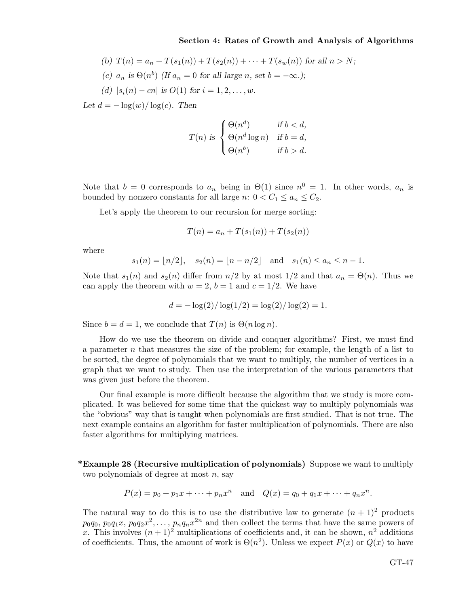### Section 4: Rates of Growth and Analysis of Algorithms

\n- (b) 
$$
T(n) = a_n + T(s_1(n)) + T(s_2(n)) + \cdots + T(s_w(n))
$$
 for all  $n > N$ ;
\n- (c)  $a_n$  is  $\Theta(n^b)$  (If  $a_n = 0$  for all large n, set  $b = -\infty$ .);
\n- (d)  $|s_i(n) - cn|$  is  $O(1)$  for  $i = 1, 2, \ldots, w$ .
\n

Let  $d = -\log(w)/\log(c)$ . Then

$$
T(n) \text{ is } \begin{cases} \Theta(n^d) & \text{if } b < d, \\ \Theta(n^d \log n) & \text{if } b = d, \\ \Theta(n^b) & \text{if } b > d. \end{cases}
$$

Note that  $b = 0$  corresponds to  $a_n$  being in  $\Theta(1)$  since  $n^0 = 1$ . In other words,  $a_n$  is bounded by nonzero constants for all large  $n: 0 < C_1 \le a_n \le C_2$ .

Let's apply the theorem to our recursion for merge sorting:

$$
T(n) = a_n + T(s_1(n)) + T(s_2(n))
$$

where

$$
s_1(n) = \lfloor n/2 \rfloor, \quad s_2(n) = \lfloor n - n/2 \rfloor \quad \text{and} \quad s_1(n) \le a_n \le n - 1.
$$

Note that  $s_1(n)$  and  $s_2(n)$  differ from  $n/2$  by at most  $1/2$  and that  $a_n = \Theta(n)$ . Thus we can apply the theorem with  $w = 2$ ,  $b = 1$  and  $c = 1/2$ . We have

$$
d = -\log(2)/\log(1/2) = \log(2)/\log(2) = 1.
$$

Since  $b = d = 1$ , we conclude that  $T(n)$  is  $\Theta(n \log n)$ .

How do we use the theorem on divide and conquer algorithms? First, we must find a parameter n that measures the size of the problem; for example, the length of a list to be sorted, the degree of polynomials that we want to multiply, the number of vertices in a graph that we want to study. Then use the interpretation of the various parameters that was given just before the theorem.

Our final example is more difficult because the algorithm that we study is more complicated. It was believed for some time that the quickest way to multiply polynomials was the "obvious" way that is taught when polynomials are first studied. That is not true. The next example contains an algorithm for faster multiplication of polynomials. There are also faster algorithms for multiplying matrices.

\*Example 28 (Recursive multiplication of polynomials) Suppose we want to multiply two polynomials of degree at most  $n$ , say

$$
P(x) = p_0 + p_1 x + \dots + p_n x^n
$$
 and  $Q(x) = q_0 + q_1 x + \dots + q_n x^n$ .

The natural way to do this is to use the distributive law to generate  $(n + 1)^2$  products  $p_0q_0, p_0q_1x, p_0q_2x^2, \ldots, p_nq_nx^{2n}$  and then collect the terms that have the same powers of x. This involves  $(n+1)^2$  multiplications of coefficients and, it can be shown,  $n^2$  additions of coefficients. Thus, the amount of work is  $\Theta(n^2)$ . Unless we expect  $P(x)$  or  $Q(x)$  to have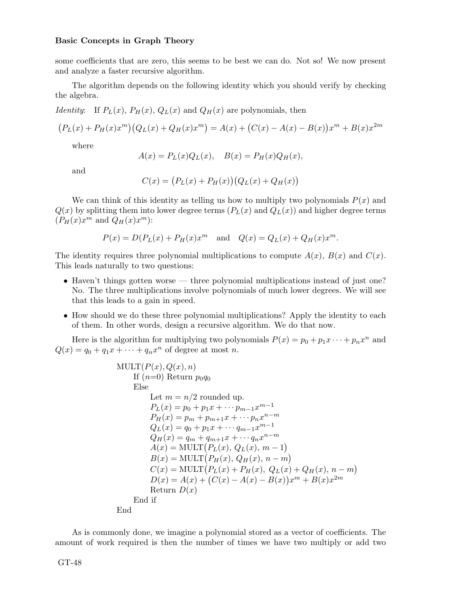some coefficients that are zero, this seems to be best we can do. Not so! We now present and analyze a faster recursive algorithm.

The algorithm depends on the following identity which you should verify by checking the algebra.

*Identity:* If  $P_L(x)$ ,  $P_H(x)$ ,  $Q_L(x)$  and  $Q_H(x)$  are polynomials, then

$$
(P_L(x) + P_H(x)x^m)(Q_L(x) + Q_H(x)x^m) = A(x) + (C(x) - A(x) - B(x))x^m + B(x)x^{2m}
$$

where

$$
A(x) = P_L(x)Q_L(x), \quad B(x) = P_H(x)Q_H(x),
$$

and

$$
C(x) = (P_L(x) + P_H(x))(Q_L(x) + Q_H(x))
$$

We can think of this identity as telling us how to multiply two polynomials  $P(x)$  and  $Q(x)$  by splitting them into lower degree terms  $(P_L(x)$  and  $Q_L(x))$  and higher degree terms  $(P_H(x)x^m$  and  $Q_H(x)x^m)$ :

$$
P(x) = D(P_L(x) + P_H(x)x^m
$$
 and  $Q(x) = Q_L(x) + Q_H(x)x^m$ .

The identity requires three polynomial multiplications to compute  $A(x)$ ,  $B(x)$  and  $C(x)$ . This leads naturally to two questions:

- Haven't things gotten worse three polynomial multiplications instead of just one? No. The three multiplications involve polynomials of much lower degrees. We will see that this leads to a gain in speed.
- How should we do these three polynomial multiplications? Apply the identity to each of them. In other words, design a recursive algorithm. We do that now.

Here is the algorithm for multiplying two polynomials  $P(x) = p_0 + p_1 x \cdots + p_n x^n$  and  $Q(x) = q_0 + q_1 x + \cdots + q_n x^n$  of degree at most *n*.

MULT
$$
(P(x), Q(x), n)
$$
  
\nIf  $(n=0)$  Return  $p_0q_0$   
\nElse  
\nLet  $m = n/2$  rounded up.  
\n $P_L(x) = p_0 + p_1x + \cdots p_{m-1}x^{m-1}$   
\n $P_H(x) = p_m + p_{m+1}x + \cdots p_nx^{n-m}$   
\n $Q_L(x) = q_0 + p_1x + \cdots q_{m-1}x^{m-1}$   
\n $Q_H(x) = q_m + q_{m+1}x + \cdots q_nx^{n-m}$   
\n $A(x) = \text{MULT}(P_L(x), Q_L(x), m - 1)$   
\n $B(x) = \text{MULT}(P_H(x), Q_H(x), n - m)$   
\n $C(x) = \text{MULT}(P_L(x) + P_H(x), Q_L(x) + Q_H(x), n - m)$   
\n $D(x) = A(x) + (C(x) - A(x) - B(x))x^m + B(x)x^{2m}$   
\nReturn  $D(x)$   
\nEnd if  
\nEnd

As is commonly done, we imagine a polynomial stored as a vector of coefficients. The amount of work required is then the number of times we have two multiply or add two

GT-48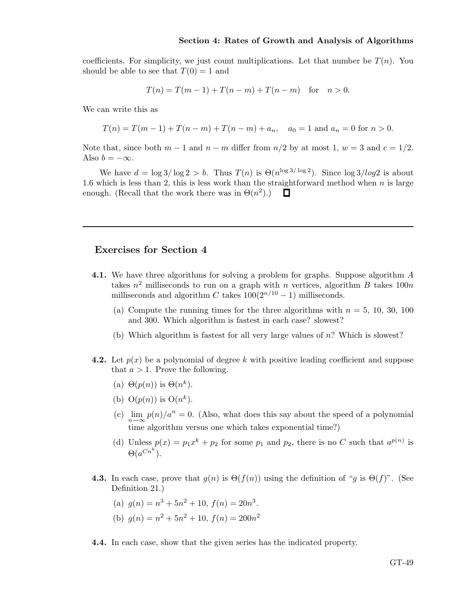coefficients. For simplicity, we just count multiplications. Let that number be  $T(n)$ . You should be able to see that  $T(0) = 1$  and

$$
T(n) = T(m-1) + T(n-m) + T(n-m)
$$
 for  $n > 0$ .

We can write this as

 $T(n) = T(m-1) + T(n-m) + T(n-m) + a_n$ ,  $a_0 = 1$  and  $a_n = 0$  for  $n > 0$ .

Note that, since both  $m-1$  and  $n-m$  differ from  $n/2$  by at most 1,  $w=3$  and  $c=1/2$ . Also  $b = -\infty$ .

We have  $d = \log 3/\log 2 > b$ . Thus  $T(n)$  is  $\Theta(n^{\log 3/\log 2})$ . Since  $\log 3/\log 2$  is about 1.6 which is less than 2, this is less work than the straightforward method when  $n$  is large enough. (Recall that the work there was in  $\Theta(n^2)$ .)

## Exercises for Section 4

- 4.1. We have three algorithms for solving a problem for graphs. Suppose algorithm A takes  $n^2$  milliseconds to run on a graph with n vertices, algorithm B takes 100n milliseconds and algorithm C takes  $100(2^{n/10} - 1)$  milliseconds.
	- (a) Compute the running times for the three algorithms with  $n = 5, 10, 30, 100$ and 300. Which algorithm is fastest in each case? slowest?
	- (b) Which algorithm is fastest for all very large values of  $n$ ? Which is slowest?
- **4.2.** Let  $p(x)$  be a polynomial of degree k with positive leading coefficient and suppose that  $a > 1$ . Prove the following.
	- (a)  $\Theta(p(n))$  is  $\Theta(n^k)$ .
	- (b)  $O(p(n))$  is  $O(n^k)$ .
	- (c)  $\lim_{n\to\infty} p(n)/a^n = 0$ . (Also, what does this say about the speed of a polynomial time algorithm versus one which takes exponential time?)
	- (d) Unless  $p(x) = p_1 x^k + p_2$  for some  $p_1$  and  $p_2$ , there is no C such that  $a^{p(n)}$  is  $\Theta(a^{Cn^k}).$
- **4.3.** In each case, prove that  $g(n)$  is  $\Theta(f(n))$  using the definition of "g is  $\Theta(f)$ ". (See Definition 21.)

(a) 
$$
g(n) = n^3 + 5n^2 + 10
$$
,  $f(n) = 20n^3$ .

- (b)  $g(n) = n^2 + 5n^2 + 10$ ,  $f(n) = 200n^2$
- 4.4. In each case, show that the given series has the indicated property.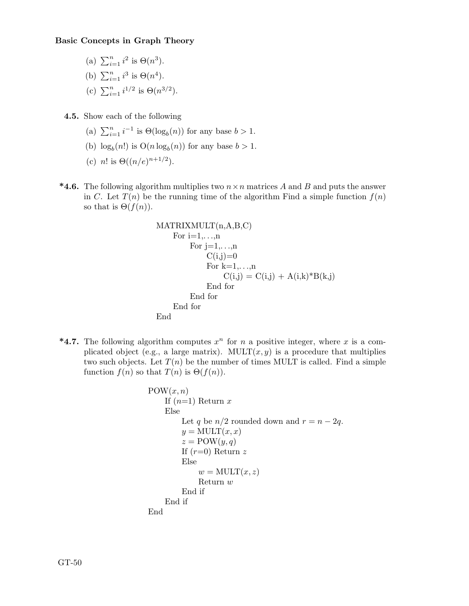(a)  $\sum_{i=1}^{n} i^2$  is  $\Theta(n^3)$ . (b)  $\sum_{i=1}^{n} i^3$  is  $\Theta(n^4)$ . (c)  $\sum_{i=1}^{n} i^{1/2}$  is  $\Theta(n^{3/2})$ .

4.5. Show each of the following

- (a)  $\sum_{i=1}^{n} i^{-1}$  is  $\Theta(\log_b(n))$  for any base  $b > 1$ .
- (b)  $\log_b(n!)$  is  $O(n \log_b(n))$  for any base  $b > 1$ .
- (c) *n*! is  $\Theta((n/e)^{n+1/2})$ .
- \*4.6. The following algorithm multiplies two  $n \times n$  matrices A and B and puts the answer in C. Let  $T(n)$  be the running time of the algorithm Find a simple function  $f(n)$ so that is  $\Theta(f(n))$ .

$$
\begin{array}{ll}\n\text{MATRIXMLIT}(n, A, B, C) \\
\text{For i=1, ..., n} \\
& \text{For j=1, ..., n} \\
& \text{C}(i, j) = 0 \\
& \text{For k=1, ..., n} \\
& \text{C}(i, j) = \text{C}(i, j) + \text{A}(i, k)^* \text{B}(k, j) \\
& \text{End for} \\
& \text{End for} \\
\text{End for} \\
\text{End} \\
\end{array}
$$

\*4.7. The following algorithm computes  $x^n$  for n a positive integer, where x is a complicated object (e.g., a large matrix). MULT $(x, y)$  is a procedure that multiplies two such objects. Let  $T(n)$  be the number of times MULT is called. Find a simple function  $f(n)$  so that  $T(n)$  is  $\Theta(f(n))$ .

```
POW(x, n)If (n=1) Return x
    Else
         Let q be n/2 rounded down and r = n - 2q.
         y = \text{MULT}(x, x)z = \text{POW}(y, q)If (r=0) Return z
         Else
              w = \text{MULT}(x, z)Return w
         End if
    End if
End
```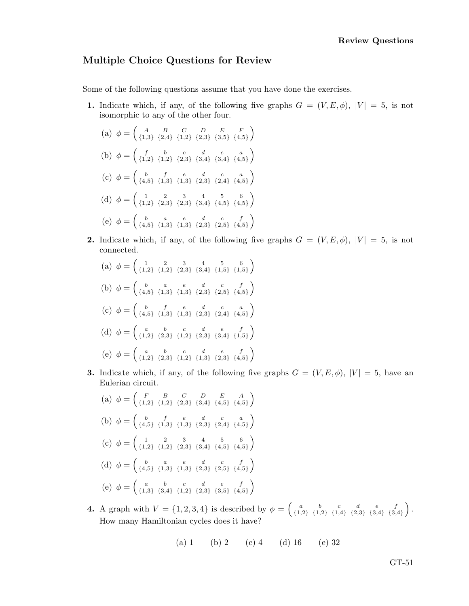## Multiple Choice Questions for Review

Some of the following questions assume that you have done the exercises.

- 1. Indicate which, if any, of the following five graphs  $G = (V, E, \phi)$ ,  $|V| = 5$ , is not isomorphic to any of the other four.
	- (a)  $\phi = \begin{pmatrix} A \\ 1 \end{pmatrix}$  ${1,3}$ B  ${2,4}$  $\mathcal{C}_{0}^{(n)}$  ${1,2}$ D  ${2,3}$ E  ${3,5}$ F  $\begin{pmatrix} F \\ 4,5 \end{pmatrix}$ (b)  $\phi = \begin{pmatrix} f \\ f_1 \end{pmatrix}$  ${1,2}$ b  ${1,2}$ c  ${2,3}$ d  ${3,4}$ e {3,4} a  $\begin{pmatrix} a \\ 4,5 \end{pmatrix}$ (c)  $\phi = \begin{pmatrix} b \\ f_A \end{pmatrix}$  ${4,5}$ f  ${1,3}$ e  ${1,3}$ d  ${2,3}$ c  ${2,4}$ a  $\begin{pmatrix} a \\ 4,5 \end{pmatrix}$ (d)  $\phi = \begin{pmatrix} 1 \\ 1 \end{pmatrix}$  ${1,2}$ 2  ${2,3}$ 3  ${2,3}$ 4  ${3,4}$ 5  ${4,5}$ 6  $\left\{\begin{smallmatrix}6\4,5\end{smallmatrix}\right\}$ (e)  $\phi = \begin{pmatrix} b \\ f_4 \end{pmatrix}$  ${4,5}$ a  ${1,3}$ e  ${1,3}$ d  ${2,3}$ c  ${2,5}$ f  $\begin{pmatrix} f \\ {4,5} \end{pmatrix}$
- 2. Indicate which, if any, of the following five graphs  $G = (V, E, \phi)$ ,  $|V| = 5$ , is not connected.

(a) 
$$
\phi = \begin{pmatrix} 1 & 2 & 3 & 4 & 5 & 6 \\ \{1,2\} & \{1,2\} & \{2,3\} & \{3,4\} & \{1,5\} & \{1,5\} \end{pmatrix}
$$
  
\n(b)  $\phi = \begin{pmatrix} b & a & e & d & c & f \\ \{4,5\} & \{1,3\} & \{1,3\} & \{2,3\} & \{2,5\} & \{4,5\} \end{pmatrix}$   
\n(c)  $\phi = \begin{pmatrix} b & f & e & d & c & a \\ \{4,5\} & \{1,3\} & \{1,3\} & \{2,3\} & \{2,4\} & \{4,5\} \end{pmatrix}$   
\n(d)  $\phi = \begin{pmatrix} a & b & c & d & e & f \\ \{1,2\} & \{2,3\} & \{1,2\} & \{2,3\} & \{3,4\} & \{1,5\} \end{pmatrix}$   
\n(e)  $\phi = \begin{pmatrix} a & b & c & d & e & f \\ \{1,2\} & \{2,3\} & \{1,2\} & \{1,3\} & \{2,3\} & \{4,5\} \end{pmatrix}$ 

- **3.** Indicate which, if any, of the following five graphs  $G = (V, E, \phi)$ ,  $|V| = 5$ , have an Eulerian circuit.
	- (a)  $\phi = \begin{pmatrix} F \\ f_1 \end{pmatrix}$  ${1,2}$ B  ${1,2}$  $\mathcal{C}_{0}^{0}$  ${2,3}$ D  ${3,4}$ E  ${4,5}$ A  $\begin{pmatrix} A \\ 4,5 \end{pmatrix}$ (b)  $\phi = \begin{pmatrix} b \\ f_4 \end{pmatrix}$  ${4,5}$ f  ${1,3}$ e  ${1,3}$ d  ${2,3}$ c  ${2,4}$ a  $\begin{pmatrix} a \\ 4,5 \end{pmatrix}$ (c)  $\phi = \begin{pmatrix} 1 \\ 1 \end{pmatrix}$  ${1,2}$ 2  ${1,2}$ 3  ${2,3}$ 4  ${3,4}$ 5  ${4,5}$ 6  $\left\{\begin{smallmatrix}6\4,5\end{smallmatrix}\right\}$ (d)  $\phi = \begin{pmatrix} b \\ f_4 \end{pmatrix}$  ${4,5}$ a  ${1,3}$ e  ${1,3}$ d  ${2,3}$ c  ${2,5}$ f  $\begin{pmatrix} f \\ {4,5} \end{pmatrix}$ (e)  $\phi = \begin{pmatrix} a \\ f_1 \end{pmatrix}$  ${1,3}$ b  ${3,4}$ c  ${1,2}$ d  ${2,3}$ e  ${3,5}$ f  $\begin{pmatrix} f \\ {4,5} \end{pmatrix}$
- 4. A graph with  $V = \{1, 2, 3, 4\}$  is described by  $\phi = \begin{pmatrix} a & b \\ c & d \end{pmatrix}$  ${1,2}$ b  ${1,2}$ c  ${1,4}$ d  ${2,3}$ e {3,4} f  $\begin{pmatrix} f \\ 3,4 \end{pmatrix}$ . How many Hamiltonian cycles does it have?

(a) 1 (b) 2 (c) 4 (d) 16 (e) 32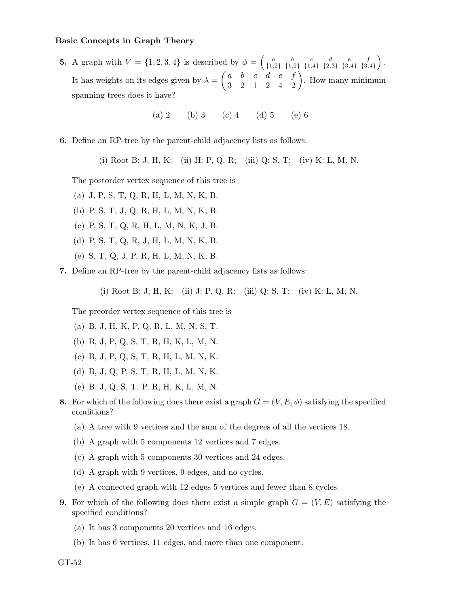**5.** A graph with  $V = \{1, 2, 3, 4\}$  is described by  $\phi = \begin{pmatrix} a & b \\ b & c \end{pmatrix}$  ${1,2}$ b  ${1,2}$ c  ${1,4}$ d  ${2,3}$ e {3,4} f  $\begin{pmatrix} f \\ 3,4 \end{pmatrix}$ . It has weights on its edges given by  $\lambda = \begin{pmatrix} a & b & c & d & e & f \\ 3 & 2 & 1 & 2 & 4 & 2 \end{pmatrix}$ . How many minimum spanning trees does it have?

(a) 2 (b) 3 (c) 4 (d) 5 (e) 6

- 6. Define an RP-tree by the parent-child adjacency lists as follows:
	- (i) Root B: J, H, K; (ii) H: P, Q, R; (iii) Q: S, T; (iv) K: L, M, N.

The postorder vertex sequence of this tree is

- (a) J, P, S, T, Q, R, H, L, M, N, K, B.
- (b) P, S, T, J, Q, R, H, L, M, N, K, B.
- (c) P, S, T, Q, R, H, L, M, N, K, J, B.
- (d) P, S, T, Q, R, J, H, L, M, N, K, B.
- (e) S, T, Q, J, P, R, H, L, M, N, K, B.
- 7. Define an RP-tree by the parent-child adjacency lists as follows:

(i) Root B: J, H, K; (ii) J: P, Q, R; (iii) Q: S, T; (iv) K: L, M, N.

The preorder vertex sequence of this tree is

- (a) B, J, H, K, P, Q, R, L, M, N, S, T.
- (b) B, J, P, Q, S, T, R, H, K, L, M, N.
- (c) B, J, P, Q, S, T, R, H, L, M, N, K.
- (d) B, J, Q, P, S, T, R, H, L, M, N, K.
- (e) B, J, Q, S, T, P, R, H, K, L, M, N.
- 8. For which of the following does there exist a graph  $G = (V, E, \phi)$  satisfying the specified conditions?
	- (a) A tree with 9 vertices and the sum of the degrees of all the vertices 18.
	- (b) A graph with 5 components 12 vertices and 7 edges.
	- (c) A graph with 5 components 30 vertices and 24 edges.
	- (d) A graph with 9 vertices, 9 edges, and no cycles.
	- (e) A connected graph with 12 edges 5 vertices and fewer than 8 cycles.
- **9.** For which of the following does there exist a simple graph  $G = (V, E)$  satisfying the specified conditions?
	- (a) It has 3 components 20 vertices and 16 edges.
	- (b) It has 6 vertices, 11 edges, and more than one component.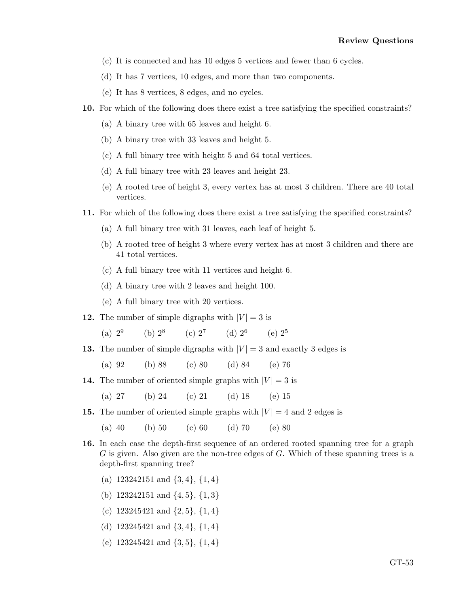- (c) It is connected and has 10 edges 5 vertices and fewer than 6 cycles.
- (d) It has 7 vertices, 10 edges, and more than two components.
- (e) It has 8 vertices, 8 edges, and no cycles.
- 10. For which of the following does there exist a tree satisfying the specified constraints?
	- (a) A binary tree with 65 leaves and height 6.
	- (b) A binary tree with 33 leaves and height 5.
	- (c) A full binary tree with height 5 and 64 total vertices.
	- (d) A full binary tree with 23 leaves and height 23.
	- (e) A rooted tree of height 3, every vertex has at most 3 children. There are 40 total vertices.
- 11. For which of the following does there exist a tree satisfying the specified constraints?
	- (a) A full binary tree with 31 leaves, each leaf of height 5.
	- (b) A rooted tree of height 3 where every vertex has at most 3 children and there are 41 total vertices.
	- (c) A full binary tree with 11 vertices and height 6.
	- (d) A binary tree with 2 leaves and height 100.
	- (e) A full binary tree with 20 vertices.
- **12.** The number of simple digraphs with  $|V| = 3$  is
	- $(a) 2<sup>9</sup>$ (b)  $2^8$ (c)  $2^7$ (d)  $2^6$ (e)  $2^5$
- 13. The number of simple digraphs with  $|V| = 3$  and exactly 3 edges is
	- (a) 92 (b) 88 (c) 80 (d) 84 (e) 76
- **14.** The number of oriented simple graphs with  $|V| = 3$  is
	- (a) 27 (b) 24 (c) 21 (d) 18 (e) 15
- **15.** The number of oriented simple graphs with  $|V| = 4$  and 2 edges is
	- (a) 40 (b) 50 (c) 60 (d) 70 (e) 80
- 16. In each case the depth-first sequence of an ordered rooted spanning tree for a graph  $G$  is given. Also given are the non-tree edges of  $G$ . Which of these spanning trees is a depth-first spanning tree?
	- (a)  $123242151$  and  $\{3,4\}, \{1,4\}$
	- (b)  $123242151$  and  $\{4, 5\}$ ,  $\{1, 3\}$
	- (c)  $123245421$  and  $\{2, 5\}$ ,  $\{1, 4\}$
	- (d) 123245421 and {3, 4}, {1, 4}
	- (e) 123245421 and {3, 5}, {1, 4}